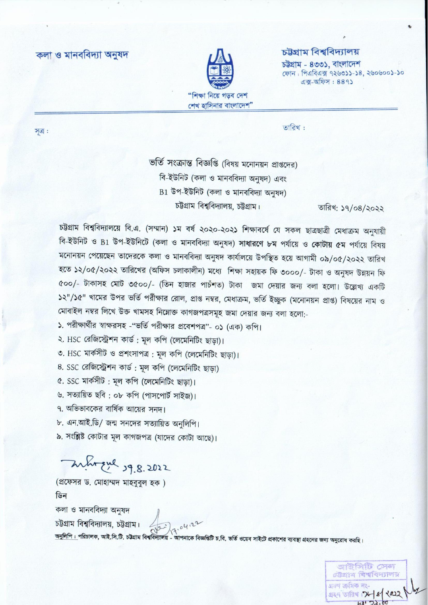কলা ও মানববিদ্যা অনুষদ



## চউ্ৰগ্ৰাম বিশ্ববিদ্যালয়

চউগ্ৰাম - ৪৩৩১, বাংলাদেশ ফোন: পিএবিএক্স ৭২৬৩১১-১৪, ২৬০৬০০১-১০  $44 - 9$   $-9$   $+ 889$ 

সত্ৰ:

তারিখ:

ভর্তি সংক্রান্ত বিজ্ঞপ্তি (বিষয় মনোনয়ন প্রাপ্তদের) বি-ইউনিট (কলা ও মানববিদ্যা অনুষদ) এবং B1 উপ-ইউনিট (কলা ও মানববিদ্যা অনুষদ) চউগ্রাম বিশ্ববিদ্যালয়, চউগ্রাম।

তারিখ: ১৭/০৪/২০২২

চট্টগ্রাম বিশ্ববিদ্যালয়ে বি.এ. (সম্মান) ১ম বর্ষ ২০২০-২০২১ শিক্ষাবর্ষে যে সকল ছাত্রছাত্রী মেধাক্রম অনুযায়ী বি-ইউনিট ও B1 উপ-ইউনিটে (কলা ও মানববিদ্যা অনুষদ) সাধারণে ৮ম পর্যায়ে ও কোটায় ৫ম পর্যায়ে বিষয় মনোনয়ন পেয়েছেন তাদেরকে কলা ও মানববিদ্যা অনুষদ কার্যালয়ে উপস্থিত হয়ে আগামী ০৯/০৫/২০২২ তারিখ হতে ১২/০৫/২০২২ তারিখের (অফিস চলাকালীন) মধ্যে শিক্ষা সহায়ক ফি ৩০০০/- টাকা ও অনুষদ উন্নয়ন ফি ৫০০/- টাকাসহ মোট ৩৫০০/- (তিন হাজার পাচঁশত) টাকা জমা দেয়ার জন্য বলা হলো। উল্লেখ্য একটি ১২"/১৫" খামের উপর ভর্তি পরীক্ষার রোল, প্রাপ্ত নম্বর, মেধাক্রম, ভর্তি ইচ্ছুক (মনোনয়ন প্রাপ্ত) বিষয়ের নাম ও মোবাইল নম্বর লিখে উক্ত খামসহ নিম্নোক্ত কাগজপত্রসমূহ জমা দেয়ার জন্য বলা হলো:-

১. পরীক্ষার্থীর স্বাক্ষরসহ -"ভর্তি পরীক্ষার প্রবেশপত্র"- ০১ (এক) কপি।

২. HSC রেজিস্ট্রেশন কার্ড: মূল কপি (লেমেনিটিং ছাড়া)।

৩. HSC মার্কসীট ও প্রশংসাপত্র : মূল কপি (লেমেনিটিং ছাড়া)।

৪. SSC রেজিস্ট্রেশন কার্ড : মূল কপি (লেমেনিটিং ছাড়া)

৫. SSC মার্কসীট: মূল কপি (লেমেনিটিং ছাড়া)।

৬. সত্যায়িত ছবি : ০৮ কপি (পাসপোর্ট সাইজ)।

৭. অভিভাবকের বার্ষিক আয়ের সনদ।

- ৮. এন.আই.ডি/ জন্ম সনদের সত্যায়িত অনুলিপি।
- ৯. সংশ্লিষ্ট কোটার মূল কাগজপত্র (যাদের কোটা আছে)।

- Who que 19.8.2022

(প্রফেসর ড. মোহাম্মদ মাহবুবুল হক) ডিন

কলা ও মানববিদ্যা অনুষদ চট্টগ্রাম বিশ্ববিদ্যালয়, চট্টগ্রাম।<br>অনুলিপি : পরিচালক, আই.সি.টি. চট্টগ্রাম বিশ্ববিদ্যালয় - আপনাকে বিজ্ঞন্তিটি চ.বি. ভর্তি ওয়েব সাইটে প্রকাশের ব্যবস্থা গ্রহনের জন্য অনুরোধ করছি।

জাইসিটি সেন চউজাম বিশ্ববিদ্যালয় গ্ৰহণ ক্ৰমিক নংsee offer : 7- 8 2022  $h2'22.00$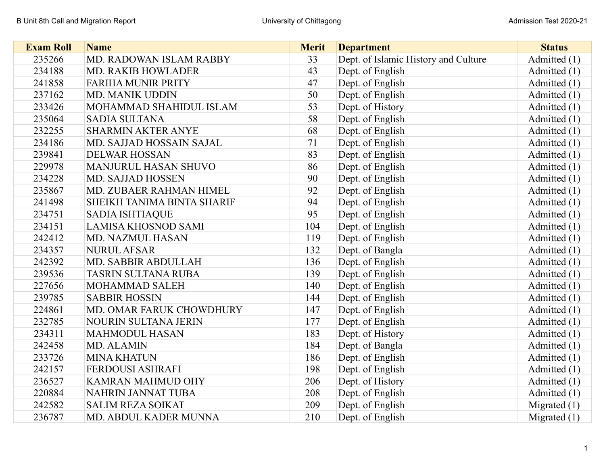| <b>Exam Roll</b> | <b>Name</b>                 | <b>Merit</b> | <b>Department</b>                    | <b>Status</b>  |
|------------------|-----------------------------|--------------|--------------------------------------|----------------|
| 235266           | MD. RADOWAN ISLAM RABBY     | 33           | Dept. of Islamic History and Culture | Admitted (1)   |
| 234188           | <b>MD. RAKIB HOWLADER</b>   | 43           | Dept. of English                     | Admitted (1)   |
| 241858           | <b>FARIHA MUNIR PRITY</b>   | 47           | Dept. of English                     | Admitted (1)   |
| 237162           | <b>MD. MANIK UDDIN</b>      | 50           | Dept. of English                     | Admitted (1)   |
| 233426           | MOHAMMAD SHAHIDUL ISLAM     | 53           | Dept. of History                     | Admitted (1)   |
| 235064           | <b>SADIA SULTANA</b>        | 58           | Dept. of English                     | Admitted (1)   |
| 232255           | <b>SHARMIN AKTER ANYE</b>   | 68           | Dept. of English                     | Admitted (1)   |
| 234186           | MD. SAJJAD HOSSAIN SAJAL    | 71           | Dept. of English                     | Admitted (1)   |
| 239841           | <b>DELWAR HOSSAN</b>        | 83           | Dept. of English                     | Admitted (1)   |
| 229978           | MANJURUL HASAN SHUVO        | 86           | Dept. of English                     | Admitted (1)   |
| 234228           | <b>MD. SAJJAD HOSSEN</b>    | 90           | Dept. of English                     | Admitted (1)   |
| 235867           | MD. ZUBAER RAHMAN HIMEL     | 92           | Dept. of English                     | Admitted (1)   |
| 241498           | SHEIKH TANIMA BINTA SHARIF  | 94           | Dept. of English                     | Admitted (1)   |
| 234751           | <b>SADIA ISHTIAQUE</b>      | 95           | Dept. of English                     | Admitted (1)   |
| 234151           | <b>LAMISA KHOSNOD SAMI</b>  | 104          | Dept. of English                     | Admitted $(1)$ |
| 242412           | <b>MD. NAZMUL HASAN</b>     | 119          | Dept. of English                     | Admitted (1)   |
| 234357           | <b>NURUL AFSAR</b>          | 132          | Dept. of Bangla                      | Admitted (1)   |
| 242392           | MD. SABBIR ABDULLAH         | 136          | Dept. of English                     | Admitted (1)   |
| 239536           | <b>TASRIN SULTANA RUBA</b>  | 139          | Dept. of English                     | Admitted (1)   |
| 227656           | <b>MOHAMMAD SALEH</b>       | 140          | Dept. of English                     | Admitted (1)   |
| 239785           | <b>SABBIR HOSSIN</b>        | 144          | Dept. of English                     | Admitted (1)   |
| 224861           | MD. OMAR FARUK CHOWDHURY    | 147          | Dept. of English                     | Admitted (1)   |
| 232785           | <b>NOURIN SULTANA JERIN</b> | 177          | Dept. of English                     | Admitted $(1)$ |
| 234311           | <b>MAHMODUL HASAN</b>       | 183          | Dept. of History                     | Admitted (1)   |
| 242458           | <b>MD. ALAMIN</b>           | 184          | Dept. of Bangla                      | Admitted (1)   |
| 233726           | <b>MINA KHATUN</b>          | 186          | Dept. of English                     | Admitted $(1)$ |
| 242157           | FERDOUSI ASHRAFI            | 198          | Dept. of English                     | Admitted (1)   |
| 236527           | <b>KAMRAN MAHMUD OHY</b>    | 206          | Dept. of History                     | Admitted (1)   |
| 220884           | NAHRIN JANNAT TUBA          | 208          | Dept. of English                     | Admitted $(1)$ |
| 242582           | <b>SALIM REZA SOIKAT</b>    | 209          | Dept. of English                     | Migrated $(1)$ |
| 236787           | MD. ABDUL KADER MUNNA       | 210          | Dept. of English                     | Migrated $(1)$ |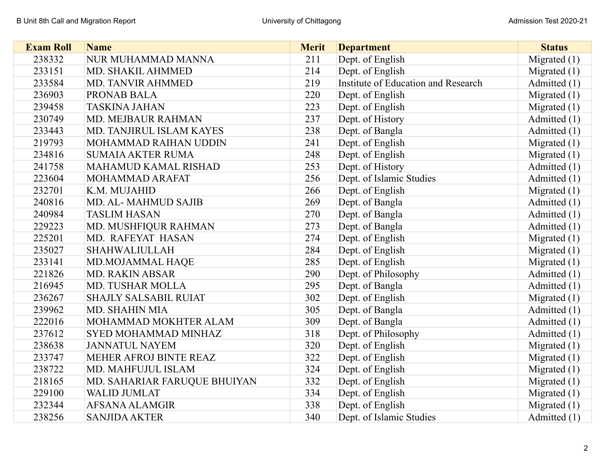| <b>Exam Roll</b> | <b>Name</b>                  | <b>Merit</b> | <b>Department</b>                   | <b>Status</b>  |
|------------------|------------------------------|--------------|-------------------------------------|----------------|
| 238332           | NUR MUHAMMAD MANNA           | 211          | Dept. of English                    | Migrated $(1)$ |
| 233151           | MD. SHAKIL AHMMED            | 214          | Dept. of English                    | Migrated $(1)$ |
| 233584           | <b>MD. TANVIR AHMMED</b>     | 219          | Institute of Education and Research | Admitted (1)   |
| 236903           | PRONAB BALA                  | 220          | Dept. of English                    | Migrated $(1)$ |
| 239458           | <b>TASKINA JAHAN</b>         | 223          | Dept. of English                    | Migrated $(1)$ |
| 230749           | MD. MEJBAUR RAHMAN           | 237          | Dept. of History                    | Admitted (1)   |
| 233443           | MD. TANJIRUL ISLAM KAYES     | 238          | Dept. of Bangla                     | Admitted (1)   |
| 219793           | MOHAMMAD RAIHAN UDDIN        | 241          | Dept. of English                    | Migrated $(1)$ |
| 234816           | <b>SUMAIA AKTER RUMA</b>     | 248          | Dept. of English                    | Migrated $(1)$ |
| 241758           | MAHAMUD KAMAL RISHAD         | 253          | Dept. of History                    | Admitted (1)   |
| 223604           | MOHAMMAD ARAFAT              | 256          | Dept. of Islamic Studies            | Admitted (1)   |
| 232701           | K.M. MUJAHID                 | 266          | Dept. of English                    | Migrated $(1)$ |
| 240816           | <b>MD. AL-MAHMUD SAJIB</b>   | 269          | Dept. of Bangla                     | Admitted (1)   |
| 240984           | <b>TASLIM HASAN</b>          | 270          | Dept. of Bangla                     | Admitted (1)   |
| 229223           | MD. MUSHFIQUR RAHMAN         | 273          | Dept. of Bangla                     | Admitted (1)   |
| 225201           | MD. RAFEYAT HASAN            | 274          | Dept. of English                    | Migrated $(1)$ |
| 235027           | <b>SHAHWALIULLAH</b>         | 284          | Dept. of English                    | Migrated $(1)$ |
| 233141           | MD.MOJAMMAL HAQE             | 285          | Dept. of English                    | Migrated $(1)$ |
| 221826           | <b>MD. RAKIN ABSAR</b>       | 290          | Dept. of Philosophy                 | Admitted (1)   |
| 216945           | <b>MD. TUSHAR MOLLA</b>      | 295          | Dept. of Bangla                     | Admitted (1)   |
| 236267           | <b>SHAJLY SALSABIL RUIAT</b> | 302          | Dept. of English                    | Migrated $(1)$ |
| 239962           | <b>MD. SHAHIN MIA</b>        | 305          | Dept. of Bangla                     | Admitted (1)   |
| 222016           | MOHAMMAD MOKHTER ALAM        | 309          | Dept. of Bangla                     | Admitted (1)   |
| 237612           | SYED MOHAMMAD MINHAZ         | 318          | Dept. of Philosophy                 | Admitted (1)   |
| 238638           | <b>JANNATUL NAYEM</b>        | 320          | Dept. of English                    | Migrated $(1)$ |
| 233747           | MEHER AFROJ BINTE REAZ       | 322          | Dept. of English                    | Migrated $(1)$ |
| 238722           | MD. MAHFUJUL ISLAM           | 324          | Dept. of English                    | Migrated $(1)$ |
| 218165           | MD. SAHARIAR FARUQUE BHUIYAN | 332          | Dept. of English                    | Migrated $(1)$ |
| 229100           | <b>WALID JUMLAT</b>          | 334          | Dept. of English                    | Migrated $(1)$ |
| 232344           | AFSANA ALAMGIR               | 338          | Dept. of English                    | Migrated $(1)$ |
| 238256           | <b>SANJIDA AKTER</b>         | 340          | Dept. of Islamic Studies            | Admitted (1)   |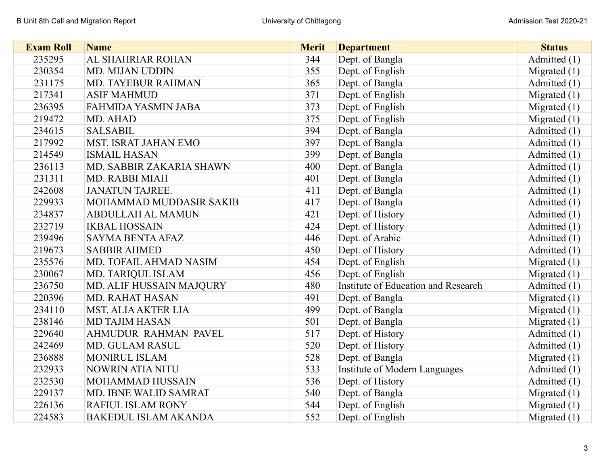| <b>Exam Roll</b> | <b>Name</b>                 | <b>Merit</b> | <b>Department</b>                   | <b>Status</b>  |
|------------------|-----------------------------|--------------|-------------------------------------|----------------|
| 235295           | AL SHAHRIAR ROHAN           | 344          | Dept. of Bangla                     | Admitted (1)   |
| 230354           | <b>MD. MIJAN UDDIN</b>      | 355          | Dept. of English                    | Migrated $(1)$ |
| 231175           | <b>MD. TAYEBUR RAHMAN</b>   | 365          | Dept. of Bangla                     | Admitted (1)   |
| 217341           | <b>ASIF MAHMUD</b>          | 371          | Dept. of English                    | Migrated $(1)$ |
| 236395           | <b>FAHMIDA YASMIN JABA</b>  | 373          | Dept. of English                    | Migrated $(1)$ |
| 219472           | MD. AHAD                    | 375          | Dept. of English                    | Migrated $(1)$ |
| 234615           | <b>SALSABIL</b>             | 394          | Dept. of Bangla                     | Admitted (1)   |
| 217992           | MST. ISRAT JAHAN EMO        | 397          | Dept. of Bangla                     | Admitted (1)   |
| 214549           | <b>ISMAIL HASAN</b>         | 399          | Dept. of Bangla                     | Admitted (1)   |
| 236113           | MD. SABBIR ZAKARIA SHAWN    | 400          | Dept. of Bangla                     | Admitted (1)   |
| 231311           | <b>MD. RABBI MIAH</b>       | 401          | Dept. of Bangla                     | Admitted (1)   |
| 242608           | <b>JANATUN TAJREE.</b>      | 411          | Dept. of Bangla                     | Admitted (1)   |
| 229933           | MOHAMMAD MUDDASIR SAKIB     | 417          | Dept. of Bangla                     | Admitted (1)   |
| 234837           | <b>ABDULLAH AL MAMUN</b>    | 421          | Dept. of History                    | Admitted (1)   |
| 232719           | <b>IKBAL HOSSAIN</b>        | 424          | Dept. of History                    | Admitted (1)   |
| 239496           | <b>SAYMA BENTA AFAZ</b>     | 446          | Dept. of Arabic                     | Admitted (1)   |
| 219673           | <b>SABBIR AHMED</b>         | 450          | Dept. of History                    | Admitted (1)   |
| 235576           | MD. TOFAIL AHMAD NASIM      | 454          | Dept. of English                    | Migrated $(1)$ |
| 230067           | MD. TARIQUL ISLAM           | 456          | Dept. of English                    | Migrated $(1)$ |
| 236750           | MD. ALIF HUSSAIN MAJQURY    | 480          | Institute of Education and Research | Admitted (1)   |
| 220396           | <b>MD. RAHAT HASAN</b>      | 491          | Dept. of Bangla                     | Migrated $(1)$ |
| 234110           | <b>MST. ALIA AKTER LIA</b>  | 499          | Dept. of Bangla                     | Migrated $(1)$ |
| 238146           | <b>MD TAJIM HASAN</b>       | 501          | Dept. of Bangla                     | Migrated $(1)$ |
| 229640           | AHMUDUR RAHMAN PAVEL        | 517          | Dept. of History                    | Admitted (1)   |
| 242469           | <b>MD. GULAM RASUL</b>      | 520          | Dept. of History                    | Admitted (1)   |
| 236888           | <b>MONIRUL ISLAM</b>        | 528          | Dept. of Bangla                     | Migrated $(1)$ |
| 232933           | NOWRIN ATIA NITU            | 533          | Institute of Modern Languages       | Admitted (1)   |
| 232530           | MOHAMMAD HUSSAIN            | 536          | Dept. of History                    | Admitted (1)   |
| 229137           | MD. IBNE WALID SAMRAT       | 540          | Dept. of Bangla                     | Migrated $(1)$ |
| 226136           | RAFIUL ISLAM RONY           | 544          | Dept. of English                    | Migrated $(1)$ |
| 224583           | <b>BAKEDUL ISLAM AKANDA</b> | 552          | Dept. of English                    | Migrated $(1)$ |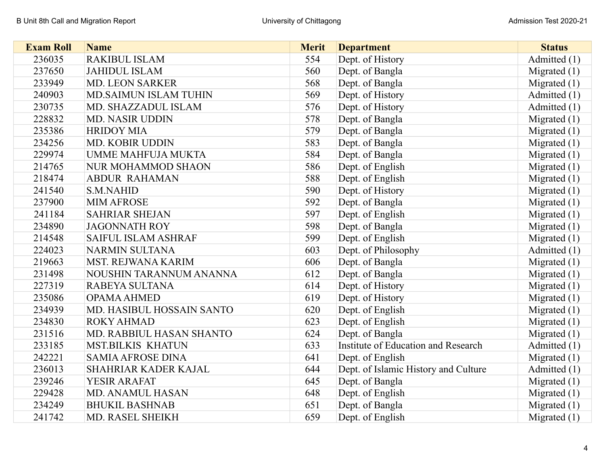| <b>Exam Roll</b> | <b>Name</b>                  | <b>Merit</b> | <b>Department</b>                    | <b>Status</b>  |
|------------------|------------------------------|--------------|--------------------------------------|----------------|
| 236035           | <b>RAKIBUL ISLAM</b>         | 554          | Dept. of History                     | Admitted (1)   |
| 237650           | <b>JAHIDUL ISLAM</b>         | 560          | Dept. of Bangla                      | Migrated $(1)$ |
| 233949           | <b>MD. LEON SARKER</b>       | 568          | Dept. of Bangla                      | Migrated $(1)$ |
| 240903           | <b>MD.SAIMUN ISLAM TUHIN</b> | 569          | Dept. of History                     | Admitted (1)   |
| 230735           | MD. SHAZZADUL ISLAM          | 576          | Dept. of History                     | Admitted (1)   |
| 228832           | <b>MD. NASIR UDDIN</b>       | 578          | Dept. of Bangla                      | Migrated $(1)$ |
| 235386           | <b>HRIDOY MIA</b>            | 579          | Dept. of Bangla                      | Migrated $(1)$ |
| 234256           | MD. KOBIR UDDIN              | 583          | Dept. of Bangla                      | Migrated $(1)$ |
| 229974           | <b>UMME MAHFUJA MUKTA</b>    | 584          | Dept. of Bangla                      | Migrated $(1)$ |
| 214765           | <b>NUR MOHAMMOD SHAON</b>    | 586          | Dept. of English                     | Migrated $(1)$ |
| 218474           | <b>ABDUR RAHAMAN</b>         | 588          | Dept. of English                     | Migrated $(1)$ |
| 241540           | <b>S.M.NAHID</b>             | 590          | Dept. of History                     | Migrated $(1)$ |
| 237900           | <b>MIM AFROSE</b>            | 592          | Dept. of Bangla                      | Migrated $(1)$ |
| 241184           | <b>SAHRIAR SHEJAN</b>        | 597          | Dept. of English                     | Migrated $(1)$ |
| 234890           | <b>JAGONNATH ROY</b>         | 598          | Dept. of Bangla                      | Migrated $(1)$ |
| 214548           | <b>SAIFUL ISLAM ASHRAF</b>   | 599          | Dept. of English                     | Migrated $(1)$ |
| 224023           | <b>NARMIN SULTANA</b>        | 603          | Dept. of Philosophy                  | Admitted (1)   |
| 219663           | MST. REJWANA KARIM           | 606          | Dept. of Bangla                      | Migrated $(1)$ |
| 231498           | NOUSHIN TARANNUM ANANNA      | 612          | Dept. of Bangla                      | Migrated $(1)$ |
| 227319           | RABEYA SULTANA               | 614          | Dept. of History                     | Migrated $(1)$ |
| 235086           | <b>OPAMA AHMED</b>           | 619          | Dept. of History                     | Migrated $(1)$ |
| 234939           | MD. HASIBUL HOSSAIN SANTO    | 620          | Dept. of English                     | Migrated $(1)$ |
| 234830           | <b>ROKY AHMAD</b>            | 623          | Dept. of English                     | Migrated $(1)$ |
| 231516           | MD. RABBIUL HASAN SHANTO     | 624          | Dept. of Bangla                      | Migrated $(1)$ |
| 233185           | <b>MST.BILKIS KHATUN</b>     | 633          | Institute of Education and Research  | Admitted (1)   |
| 242221           | <b>SAMIA AFROSE DINA</b>     | 641          | Dept. of English                     | Migrated $(1)$ |
| 236013           | SHAHRIAR KADER KAJAL         | 644          | Dept. of Islamic History and Culture | Admitted (1)   |
| 239246           | YESIR ARAFAT                 | 645          | Dept. of Bangla                      | Migrated $(1)$ |
| 229428           | <b>MD. ANAMUL HASAN</b>      | 648          | Dept. of English                     | Migrated $(1)$ |
| 234249           | <b>BHUKIL BASHNAB</b>        | 651          | Dept. of Bangla                      | Migrated $(1)$ |
| 241742           | MD. RASEL SHEIKH             | 659          | Dept. of English                     | Migrated $(1)$ |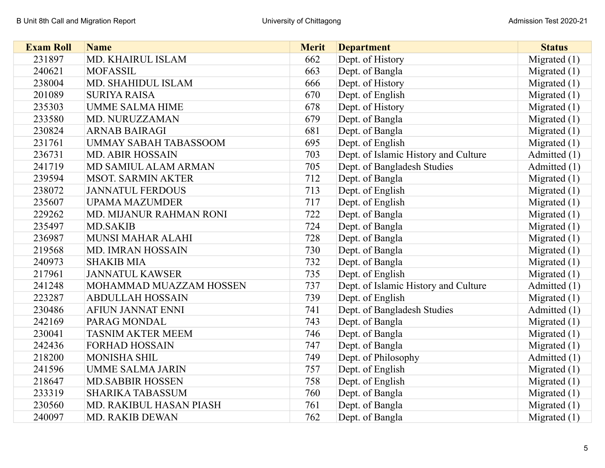| <b>Exam Roll</b> | <b>Name</b>                  | <b>Merit</b> | <b>Department</b>                    | <b>Status</b>  |
|------------------|------------------------------|--------------|--------------------------------------|----------------|
| 231897           | MD. KHAIRUL ISLAM            | 662          | Dept. of History                     | Migrated $(1)$ |
| 240621           | <b>MOFASSIL</b>              | 663          | Dept. of Bangla                      | Migrated $(1)$ |
| 238004           | MD. SHAHIDUL ISLAM           | 666          | Dept. of History                     | Migrated $(1)$ |
| 201089           | <b>SURIYA RAISA</b>          | 670          | Dept. of English                     | Migrated $(1)$ |
| 235303           | <b>UMME SALMA HIME</b>       | 678          | Dept. of History                     | Migrated $(1)$ |
| 233580           | MD. NURUZZAMAN               | 679          | Dept. of Bangla                      | Migrated $(1)$ |
| 230824           | <b>ARNAB BAIRAGI</b>         | 681          | Dept. of Bangla                      | Migrated $(1)$ |
| 231761           | <b>UMMAY SABAH TABASSOOM</b> | 695          | Dept. of English                     | Migrated $(1)$ |
| 236731           | <b>MD. ABIR HOSSAIN</b>      | 703          | Dept. of Islamic History and Culture | Admitted (1)   |
| 241719           | MD SAMIUL ALAM ARMAN         | 705          | Dept. of Bangladesh Studies          | Admitted (1)   |
| 239594           | <b>MSOT. SARMIN AKTER</b>    | 712          | Dept. of Bangla                      | Migrated $(1)$ |
| 238072           | <b>JANNATUL FERDOUS</b>      | 713          | Dept. of English                     | Migrated $(1)$ |
| 235607           | <b>UPAMA MAZUMDER</b>        | 717          | Dept. of English                     | Migrated $(1)$ |
| 229262           | MD. MIJANUR RAHMAN RONI      | 722          | Dept. of Bangla                      | Migrated $(1)$ |
| 235497           | <b>MD.SAKIB</b>              | 724          | Dept. of Bangla                      | Migrated $(1)$ |
| 236987           | <b>MUNSI MAHAR ALAHI</b>     | 728          | Dept. of Bangla                      | Migrated $(1)$ |
| 219568           | <b>MD. IMRAN HOSSAIN</b>     | 730          | Dept. of Bangla                      | Migrated $(1)$ |
| 240973           | <b>SHAKIB MIA</b>            | 732          | Dept. of Bangla                      | Migrated $(1)$ |
| 217961           | <b>JANNATUL KAWSER</b>       | 735          | Dept. of English                     | Migrated $(1)$ |
| 241248           | MOHAMMAD MUAZZAM HOSSEN      | 737          | Dept. of Islamic History and Culture | Admitted (1)   |
| 223287           | <b>ABDULLAH HOSSAIN</b>      | 739          | Dept. of English                     | Migrated $(1)$ |
| 230486           | <b>AFIUN JANNAT ENNI</b>     | 741          | Dept. of Bangladesh Studies          | Admitted (1)   |
| 242169           | PARAG MONDAL                 | 743          | Dept. of Bangla                      | Migrated $(1)$ |
| 230041           | <b>TASNIM AKTER MEEM</b>     | 746          | Dept. of Bangla                      | Migrated $(1)$ |
| 242436           | <b>FORHAD HOSSAIN</b>        | 747          | Dept. of Bangla                      | Migrated $(1)$ |
| 218200           | <b>MONISHA SHIL</b>          | 749          | Dept. of Philosophy                  | Admitted (1)   |
| 241596           | <b>UMME SALMA JARIN</b>      | 757          | Dept. of English                     | Migrated $(1)$ |
| 218647           | <b>MD.SABBIR HOSSEN</b>      | 758          | Dept. of English                     | Migrated $(1)$ |
| 233319           | <b>SHARIKA TABASSUM</b>      | 760          | Dept. of Bangla                      | Migrated $(1)$ |
| 230560           | MD. RAKIBUL HASAN PIASH      | 761          | Dept. of Bangla                      | Migrated $(1)$ |
| 240097           | <b>MD. RAKIB DEWAN</b>       | 762          | Dept. of Bangla                      | Migrated $(1)$ |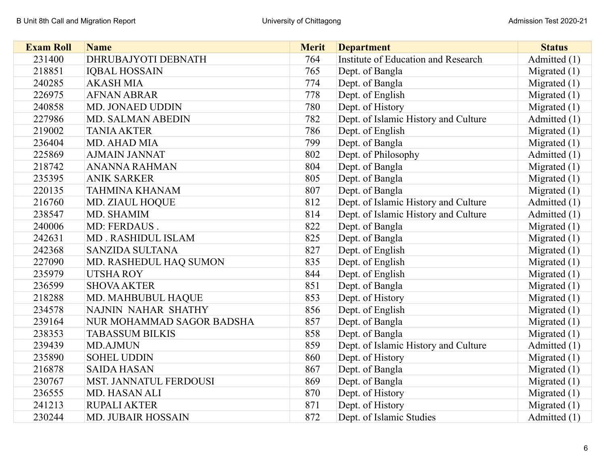| <b>Exam Roll</b> | <b>Name</b>               | <b>Merit</b> | <b>Department</b>                    | <b>Status</b>  |
|------------------|---------------------------|--------------|--------------------------------------|----------------|
| 231400           | DHRUBAJYOTI DEBNATH       | 764          | Institute of Education and Research  | Admitted (1)   |
| 218851           | <b>IQBAL HOSSAIN</b>      | 765          | Dept. of Bangla                      | Migrated $(1)$ |
| 240285           | <b>AKASH MIA</b>          | 774          | Dept. of Bangla                      | Migrated $(1)$ |
| 226975           | <b>AFNAN ABRAR</b>        | 778          | Dept. of English                     | Migrated $(1)$ |
| 240858           | MD. JONAED UDDIN          | 780          | Dept. of History                     | Migrated $(1)$ |
| 227986           | MD. SALMAN ABEDIN         | 782          | Dept. of Islamic History and Culture | Admitted (1)   |
| 219002           | <b>TANIA AKTER</b>        | 786          | Dept. of English                     | Migrated $(1)$ |
| 236404           | MD. AHAD MIA              | 799          | Dept. of Bangla                      | Migrated $(1)$ |
| 225869           | <b>AJMAIN JANNAT</b>      | 802          | Dept. of Philosophy                  | Admitted (1)   |
| 218742           | <b>ANANNA RAHMAN</b>      | 804          | Dept. of Bangla                      | Migrated $(1)$ |
| 235395           | <b>ANIK SARKER</b>        | 805          | Dept. of Bangla                      | Migrated $(1)$ |
| 220135           | <b>TAHMINA KHANAM</b>     | 807          | Dept. of Bangla                      | Migrated $(1)$ |
| 216760           | MD. ZIAUL HOQUE           | 812          | Dept. of Islamic History and Culture | Admitted (1)   |
| 238547           | MD. SHAMIM                | 814          | Dept. of Islamic History and Culture | Admitted (1)   |
| 240006           | MD: FERDAUS.              | 822          | Dept. of Bangla                      | Migrated $(1)$ |
| 242631           | MD. RASHIDUL ISLAM        | 825          | Dept. of Bangla                      | Migrated $(1)$ |
| 242368           | <b>SANZIDA SULTANA</b>    | 827          | Dept. of English                     | Migrated $(1)$ |
| 227090           | MD. RASHEDUL HAQ SUMON    | 835          | Dept. of English                     | Migrated $(1)$ |
| 235979           | <b>UTSHA ROY</b>          | 844          | Dept. of English                     | Migrated $(1)$ |
| 236599           | <b>SHOVA AKTER</b>        | 851          | Dept. of Bangla                      | Migrated $(1)$ |
| 218288           | MD. MAHBUBUL HAQUE        | 853          | Dept. of History                     | Migrated $(1)$ |
| 234578           | NAJNIN NAHAR SHATHY       | 856          | Dept. of English                     | Migrated $(1)$ |
| 239164           | NUR MOHAMMAD SAGOR BADSHA | 857          | Dept. of Bangla                      | Migrated $(1)$ |
| 238353           | <b>TABASSUM BILKIS</b>    | 858          | Dept. of Bangla                      | Migrated $(1)$ |
| 239439           | <b>MD.AJMUN</b>           | 859          | Dept. of Islamic History and Culture | Admitted (1)   |
| 235890           | <b>SOHEL UDDIN</b>        | 860          | Dept. of History                     | Migrated $(1)$ |
| 216878           | <b>SAIDA HASAN</b>        | 867          | Dept. of Bangla                      | Migrated $(1)$ |
| 230767           | MST. JANNATUL FERDOUSI    | 869          | Dept. of Bangla                      | Migrated $(1)$ |
| 236555           | MD. HASAN ALI             | 870          | Dept. of History                     | Migrated $(1)$ |
| 241213           | <b>RUPALI AKTER</b>       | 871          | Dept. of History                     | Migrated $(1)$ |
| 230244           | <b>MD. JUBAIR HOSSAIN</b> | 872          | Dept. of Islamic Studies             | Admitted (1)   |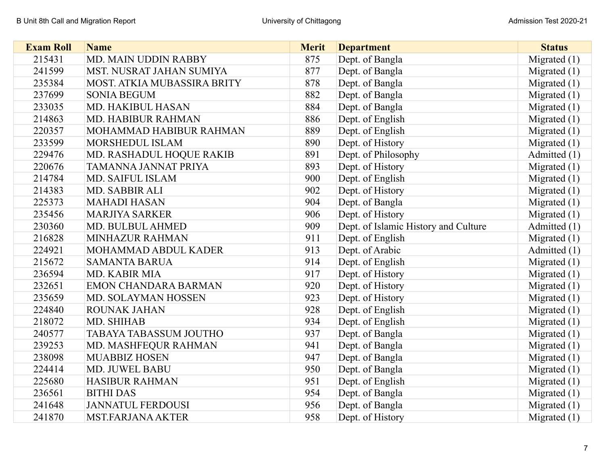| <b>Exam Roll</b> | <b>Name</b>                 | <b>Merit</b> | <b>Department</b>                    | <b>Status</b>  |
|------------------|-----------------------------|--------------|--------------------------------------|----------------|
| 215431           | MD. MAIN UDDIN RABBY        | 875          | Dept. of Bangla                      | Migrated $(1)$ |
| 241599           | MST. NUSRAT JAHAN SUMIYA    | 877          | Dept. of Bangla                      | Migrated $(1)$ |
| 235384           | MOST. ATKIA MUBASSIRA BRITY | 878          | Dept. of Bangla                      | Migrated $(1)$ |
| 237699           | <b>SONIA BEGUM</b>          | 882          | Dept. of Bangla                      | Migrated $(1)$ |
| 233035           | <b>MD. HAKIBUL HASAN</b>    | 884          | Dept. of Bangla                      | Migrated $(1)$ |
| 214863           | MD. HABIBUR RAHMAN          | 886          | Dept. of English                     | Migrated $(1)$ |
| 220357           | MOHAMMAD HABIBUR RAHMAN     | 889          | Dept. of English                     | Migrated $(1)$ |
| 233599           | <b>MORSHEDUL ISLAM</b>      | 890          | Dept. of History                     | Migrated $(1)$ |
| 229476           | MD. RASHADUL HOQUE RAKIB    | 891          | Dept. of Philosophy                  | Admitted (1)   |
| 220676           | TAMANNA JANNAT PRIYA        | 893          | Dept. of History                     | Migrated $(1)$ |
| 214784           | <b>MD. SAIFUL ISLAM</b>     | 900          | Dept. of English                     | Migrated $(1)$ |
| 214383           | MD. SABBIR ALI              | 902          | Dept. of History                     | Migrated $(1)$ |
| 225373           | <b>MAHADI HASAN</b>         | 904          | Dept. of Bangla                      | Migrated $(1)$ |
| 235456           | <b>MARJIYA SARKER</b>       | 906          | Dept. of History                     | Migrated $(1)$ |
| 230360           | MD. BULBUL AHMED            | 909          | Dept. of Islamic History and Culture | Admitted (1)   |
| 216828           | MINHAZUR RAHMAN             | 911          | Dept. of English                     | Migrated $(1)$ |
| 224921           | MOHAMMAD ABDUL KADER        | 913          | Dept. of Arabic                      | Admitted (1)   |
| 215672           | <b>SAMANTA BARUA</b>        | 914          | Dept. of English                     | Migrated $(1)$ |
| 236594           | MD. KABIR MIA               | 917          | Dept. of History                     | Migrated $(1)$ |
| 232651           | EMON CHANDARA BARMAN        | 920          | Dept. of History                     | Migrated $(1)$ |
| 235659           | MD. SOLAYMAN HOSSEN         | 923          | Dept. of History                     | Migrated $(1)$ |
| 224840           | <b>ROUNAK JAHAN</b>         | 928          | Dept. of English                     | Migrated $(1)$ |
| 218072           | MD. SHIHAB                  | 934          | Dept. of English                     | Migrated $(1)$ |
| 240577           | TABAYA TABASSUM JOUTHO      | 937          | Dept. of Bangla                      | Migrated (1)   |
| 239253           | MD. MASHFEQUR RAHMAN        | 941          | Dept. of Bangla                      | Migrated $(1)$ |
| 238098           | <b>MUABBIZ HOSEN</b>        | 947          | Dept. of Bangla                      | Migrated $(1)$ |
| 224414           | MD. JUWEL BABU              | 950          | Dept. of Bangla                      | Migrated $(1)$ |
| 225680           | <b>HASIBUR RAHMAN</b>       | 951          | Dept. of English                     | Migrated $(1)$ |
| 236561           | <b>BITHI DAS</b>            | 954          | Dept. of Bangla                      | Migrated $(1)$ |
| 241648           | <b>JANNATUL FERDOUSI</b>    | 956          | Dept. of Bangla                      | Migrated $(1)$ |
| 241870           | <b>MST.FARJANA AKTER</b>    | 958          | Dept. of History                     | Migrated $(1)$ |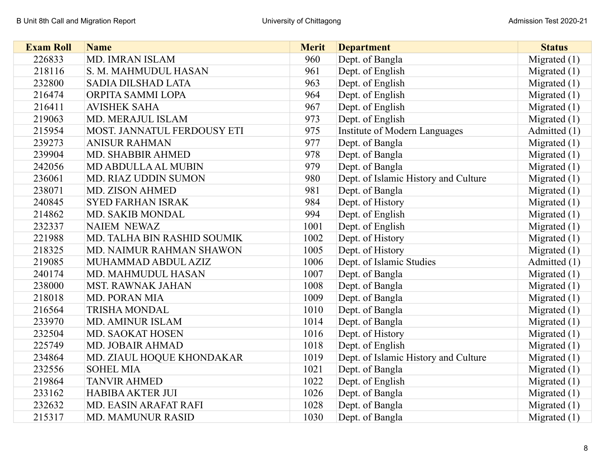| <b>Exam Roll</b> | <b>Name</b>                 | <b>Merit</b> | <b>Department</b>                    | <b>Status</b>  |
|------------------|-----------------------------|--------------|--------------------------------------|----------------|
| 226833           | MD. IMRAN ISLAM             | 960          | Dept. of Bangla                      | Migrated $(1)$ |
| 218116           | S. M. MAHMUDUL HASAN        | 961          | Dept. of English                     | Migrated $(1)$ |
| 232800           | <b>SADIA DILSHAD LATA</b>   | 963          | Dept. of English                     | Migrated $(1)$ |
| 216474           | ORPITA SAMMI LOPA           | 964          | Dept. of English                     | Migrated $(1)$ |
| 216411           | <b>AVISHEK SAHA</b>         | 967          | Dept. of English                     | Migrated $(1)$ |
| 219063           | MD. MERAJUL ISLAM           | 973          | Dept. of English                     | Migrated $(1)$ |
| 215954           | MOST. JANNATUL FERDOUSY ETI | 975          | Institute of Modern Languages        | Admitted (1)   |
| 239273           | <b>ANISUR RAHMAN</b>        | 977          | Dept. of Bangla                      | Migrated $(1)$ |
| 239904           | MD. SHABBIR AHMED           | 978          | Dept. of Bangla                      | Migrated $(1)$ |
| 242056           | MD ABDULLA AL MUBIN         | 979          | Dept. of Bangla                      | Migrated $(1)$ |
| 236061           | <b>MD. RIAZ UDDIN SUMON</b> | 980          | Dept. of Islamic History and Culture | Migrated $(1)$ |
| 238071           | <b>MD. ZISON AHMED</b>      | 981          | Dept. of Bangla                      | Migrated $(1)$ |
| 240845           | <b>SYED FARHAN ISRAK</b>    | 984          | Dept. of History                     | Migrated $(1)$ |
| 214862           | MD. SAKIB MONDAL            | 994          | Dept. of English                     | Migrated $(1)$ |
| 232337           | <b>NAIEM NEWAZ</b>          | 1001         | Dept. of English                     | Migrated $(1)$ |
| 221988           | MD. TALHA BIN RASHID SOUMIK | 1002         | Dept. of History                     | Migrated $(1)$ |
| 218325           | MD. NAIMUR RAHMAN SHAWON    | 1005         | Dept. of History                     | Migrated $(1)$ |
| 219085           | MUHAMMAD ABDUL AZIZ         | 1006         | Dept. of Islamic Studies             | Admitted (1)   |
| 240174           | MD. MAHMUDUL HASAN          | 1007         | Dept. of Bangla                      | Migrated $(1)$ |
| 238000           | <b>MST. RAWNAK JAHAN</b>    | 1008         | Dept. of Bangla                      | Migrated $(1)$ |
| 218018           | <b>MD. PORAN MIA</b>        | 1009         | Dept. of Bangla                      | Migrated $(1)$ |
| 216564           | <b>TRISHA MONDAL</b>        | 1010         | Dept. of Bangla                      | Migrated $(1)$ |
| 233970           | <b>MD. AMINUR ISLAM</b>     | 1014         | Dept. of Bangla                      | Migrated $(1)$ |
| 232504           | <b>MD. SAOKAT HOSEN</b>     | 1016         | Dept. of History                     | Migrated $(1)$ |
| 225749           | MD. JOBAIR AHMAD            | 1018         | Dept. of English                     | Migrated $(1)$ |
| 234864           | MD. ZIAUL HOQUE KHONDAKAR   | 1019         | Dept. of Islamic History and Culture | Migrated $(1)$ |
| 232556           | <b>SOHEL MIA</b>            | 1021         | Dept. of Bangla                      | Migrated $(1)$ |
| 219864           | <b>TANVIR AHMED</b>         | 1022         | Dept. of English                     | Migrated $(1)$ |
| 233162           | <b>HABIBA AKTER JUI</b>     | 1026         | Dept. of Bangla                      | Migrated $(1)$ |
| 232632           | MD. EASIN ARAFAT RAFI       | 1028         | Dept. of Bangla                      | Migrated $(1)$ |
| 215317           | <b>MD. MAMUNUR RASID</b>    | 1030         | Dept. of Bangla                      | Migrated $(1)$ |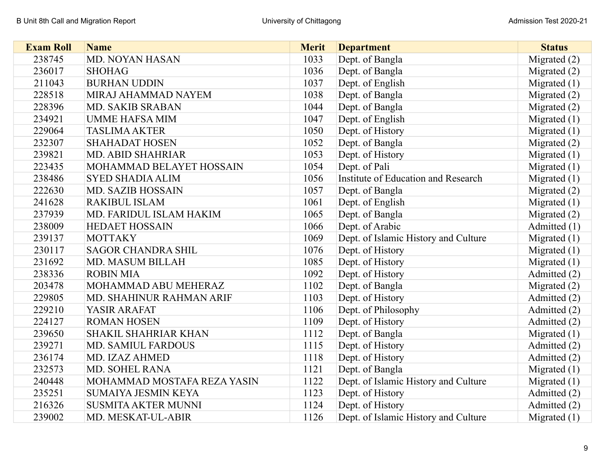| <b>Exam Roll</b> | <b>Name</b>                 | <b>Merit</b> | <b>Department</b>                    | <b>Status</b>  |
|------------------|-----------------------------|--------------|--------------------------------------|----------------|
| 238745           | MD. NOYAN HASAN             | 1033         | Dept. of Bangla                      | Migrated $(2)$ |
| 236017           | <b>SHOHAG</b>               | 1036         | Dept. of Bangla                      | Migrated $(2)$ |
| 211043           | <b>BURHAN UDDIN</b>         | 1037         | Dept. of English                     | Migrated $(1)$ |
| 228518           | MIRAJ AHAMMAD NAYEM         | 1038         | Dept. of Bangla                      | Migrated $(2)$ |
| 228396           | <b>MD. SAKIB SRABAN</b>     | 1044         | Dept. of Bangla                      | Migrated $(2)$ |
| 234921           | <b>UMME HAFSA MIM</b>       | 1047         | Dept. of English                     | Migrated $(1)$ |
| 229064           | <b>TASLIMA AKTER</b>        | 1050         | Dept. of History                     | Migrated $(1)$ |
| 232307           | <b>SHAHADAT HOSEN</b>       | 1052         | Dept. of Bangla                      | Migrated $(2)$ |
| 239821           | <b>MD. ABID SHAHRIAR</b>    | 1053         | Dept. of History                     | Migrated $(1)$ |
| 223435           | MOHAMMAD BELAYET HOSSAIN    | 1054         | Dept. of Pali                        | Migrated $(1)$ |
| 238486           | <b>SYED SHADIA ALIM</b>     | 1056         | Institute of Education and Research  | Migrated $(1)$ |
| 222630           | <b>MD. SAZIB HOSSAIN</b>    | 1057         | Dept. of Bangla                      | Migrated $(2)$ |
| 241628           | <b>RAKIBUL ISLAM</b>        | 1061         | Dept. of English                     | Migrated $(1)$ |
| 237939           | MD. FARIDUL ISLAM HAKIM     | 1065         | Dept. of Bangla                      | Migrated $(2)$ |
| 238009           | <b>HEDAET HOSSAIN</b>       | 1066         | Dept. of Arabic                      | Admitted (1)   |
| 239137           | <b>MOTTAKY</b>              | 1069         | Dept. of Islamic History and Culture | Migrated $(1)$ |
| 230117           | <b>SAGOR CHANDRA SHIL</b>   | 1076         | Dept. of History                     | Migrated $(1)$ |
| 231692           | <b>MD. MASUM BILLAH</b>     | 1085         | Dept. of History                     | Migrated $(1)$ |
| 238336           | <b>ROBIN MIA</b>            | 1092         | Dept. of History                     | Admitted (2)   |
| 203478           | MOHAMMAD ABU MEHERAZ        | 1102         | Dept. of Bangla                      | Migrated $(2)$ |
| 229805           | MD. SHAHINUR RAHMAN ARIF    | 1103         | Dept. of History                     | Admitted (2)   |
| 229210           | YASIR ARAFAT                | 1106         | Dept. of Philosophy                  | Admitted (2)   |
| 224127           | <b>ROMAN HOSEN</b>          | 1109         | Dept. of History                     | Admitted (2)   |
| 239650           | <b>SHAKIL SHAHRIAR KHAN</b> | 1112         | Dept. of Bangla                      | Migrated $(1)$ |
| 239271           | <b>MD. SAMIUL FARDOUS</b>   | 1115         | Dept. of History                     | Admitted (2)   |
| 236174           | MD. IZAZ AHMED              | 1118         | Dept. of History                     | Admitted (2)   |
| 232573           | MD. SOHEL RANA              | 1121         | Dept. of Bangla                      | Migrated $(1)$ |
| 240448           | MOHAMMAD MOSTAFA REZA YASIN | 1122         | Dept. of Islamic History and Culture | Migrated $(1)$ |
| 235251           | <b>SUMAIYA JESMIN KEYA</b>  | 1123         | Dept. of History                     | Admitted (2)   |
| 216326           | <b>SUSMITA AKTER MUNNI</b>  | 1124         | Dept. of History                     | Admitted (2)   |
| 239002           | MD. MESKAT-UL-ABIR          | 1126         | Dept. of Islamic History and Culture | Migrated $(1)$ |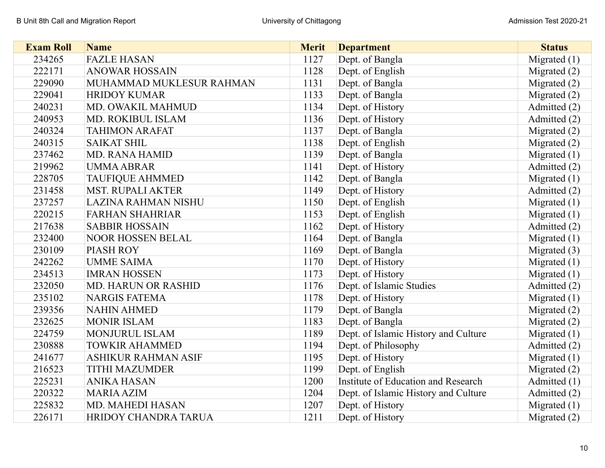| <b>Exam Roll</b> | <b>Name</b>                 | <b>Merit</b> | <b>Department</b>                    | <b>Status</b>  |
|------------------|-----------------------------|--------------|--------------------------------------|----------------|
| 234265           | <b>FAZLE HASAN</b>          | 1127         | Dept. of Bangla                      | Migrated $(1)$ |
| 222171           | <b>ANOWAR HOSSAIN</b>       | 1128         | Dept. of English                     | Migrated $(2)$ |
| 229090           | MUHAMMAD MUKLESUR RAHMAN    | 1131         | Dept. of Bangla                      | Migrated $(2)$ |
| 229041           | <b>HRIDOY KUMAR</b>         | 1133         | Dept. of Bangla                      | Migrated $(2)$ |
| 240231           | MD. OWAKIL MAHMUD           | 1134         | Dept. of History                     | Admitted (2)   |
| 240953           | MD. ROKIBUL ISLAM           | 1136         | Dept. of History                     | Admitted (2)   |
| 240324           | <b>TAHIMON ARAFAT</b>       | 1137         | Dept. of Bangla                      | Migrated $(2)$ |
| 240315           | <b>SAIKAT SHIL</b>          | 1138         | Dept. of English                     | Migrated $(2)$ |
| 237462           | <b>MD. RANA HAMID</b>       | 1139         | Dept. of Bangla                      | Migrated $(1)$ |
| 219962           | <b>UMMA ABRAR</b>           | 1141         | Dept. of History                     | Admitted (2)   |
| 228705           | <b>TAUFIQUE AHMMED</b>      | 1142         | Dept. of Bangla                      | Migrated $(1)$ |
| 231458           | <b>MST. RUPALI AKTER</b>    | 1149         | Dept. of History                     | Admitted (2)   |
| 237257           | <b>LAZINA RAHMAN NISHU</b>  | 1150         | Dept. of English                     | Migrated $(1)$ |
| 220215           | <b>FARHAN SHAHRIAR</b>      | 1153         | Dept. of English                     | Migrated $(1)$ |
| 217638           | <b>SABBIR HOSSAIN</b>       | 1162         | Dept. of History                     | Admitted (2)   |
| 232400           | <b>NOOR HOSSEN BELAL</b>    | 1164         | Dept. of Bangla                      | Migrated $(1)$ |
| 230109           | PIASH ROY                   | 1169         | Dept. of Bangla                      | Migrated (3)   |
| 242262           | <b>UMME SAIMA</b>           | 1170         | Dept. of History                     | Migrated $(1)$ |
| 234513           | <b>IMRAN HOSSEN</b>         | 1173         | Dept. of History                     | Migrated $(1)$ |
| 232050           | <b>MD. HARUN OR RASHID</b>  | 1176         | Dept. of Islamic Studies             | Admitted (2)   |
| 235102           | <b>NARGIS FATEMA</b>        | 1178         | Dept. of History                     | Migrated $(1)$ |
| 239356           | <b>NAHIN AHMED</b>          | 1179         | Dept. of Bangla                      | Migrated $(2)$ |
| 232625           | <b>MONIR ISLAM</b>          | 1183         | Dept. of Bangla                      | Migrated $(2)$ |
| 224759           | MONJURUL ISLAM              | 1189         | Dept. of Islamic History and Culture | Migrated $(1)$ |
| 230888           | <b>TOWKIR AHAMMED</b>       | 1194         | Dept. of Philosophy                  | Admitted (2)   |
| 241677           | <b>ASHIKUR RAHMAN ASIF</b>  | 1195         | Dept. of History                     | Migrated $(1)$ |
| 216523           | <b>TITHI MAZUMDER</b>       | 1199         | Dept. of English                     | Migrated $(2)$ |
| 225231           | <b>ANIKA HASAN</b>          | 1200         | Institute of Education and Research  | Admitted (1)   |
| 220322           | <b>MARIA AZIM</b>           | 1204         | Dept. of Islamic History and Culture | Admitted (2)   |
| 225832           | <b>MD. MAHEDI HASAN</b>     | 1207         | Dept. of History                     | Migrated $(1)$ |
| 226171           | <b>HRIDOY CHANDRA TARUA</b> | 1211         | Dept. of History                     | Migrated $(2)$ |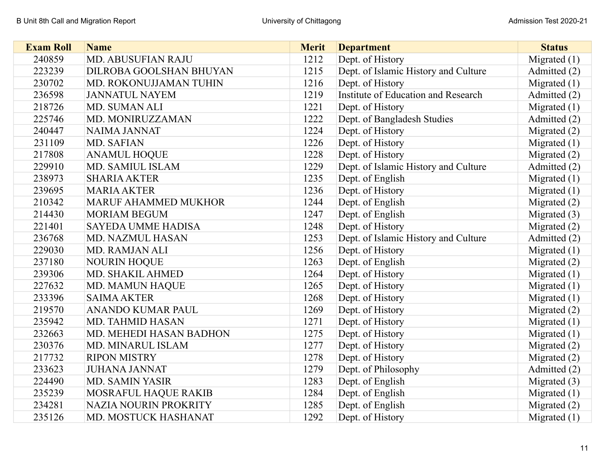| <b>Exam Roll</b> | <b>Name</b>                 | <b>Merit</b> | <b>Department</b>                    | <b>Status</b>  |
|------------------|-----------------------------|--------------|--------------------------------------|----------------|
| 240859           | MD. ABUSUFIAN RAJU          | 1212         | Dept. of History                     | Migrated $(1)$ |
| 223239           | DILROBA GOOLSHAN BHUYAN     | 1215         | Dept. of Islamic History and Culture | Admitted (2)   |
| 230702           | MD. ROKONUJJAMAN TUHIN      | 1216         | Dept. of History                     | Migrated $(1)$ |
| 236598           | <b>JANNATUL NAYEM</b>       | 1219         | Institute of Education and Research  | Admitted (2)   |
| 218726           | MD. SUMAN ALI               | 1221         | Dept. of History                     | Migrated $(1)$ |
| 225746           | MD. MONIRUZZAMAN            | 1222         | Dept. of Bangladesh Studies          | Admitted (2)   |
| 240447           | NAIMA JANNAT                | 1224         | Dept. of History                     | Migrated (2)   |
| 231109           | MD. SAFIAN                  | 1226         | Dept. of History                     | Migrated $(1)$ |
| 217808           | <b>ANAMUL HOQUE</b>         | 1228         | Dept. of History                     | Migrated $(2)$ |
| 229910           | MD. SAMIUL ISLAM            | 1229         | Dept. of Islamic History and Culture | Admitted (2)   |
| 238973           | <b>SHARIA AKTER</b>         | 1235         | Dept. of English                     | Migrated $(1)$ |
| 239695           | <b>MARIA AKTER</b>          | 1236         | Dept. of History                     | Migrated $(1)$ |
| 210342           | <b>MARUF AHAMMED MUKHOR</b> | 1244         | Dept. of English                     | Migrated (2)   |
| 214430           | <b>MORIAM BEGUM</b>         | 1247         | Dept. of English                     | Migrated $(3)$ |
| 221401           | <b>SAYEDA UMME HADISA</b>   | 1248         | Dept. of History                     | Migrated (2)   |
| 236768           | <b>MD. NAZMUL HASAN</b>     | 1253         | Dept. of Islamic History and Culture | Admitted (2)   |
| 229030           | MD. RAMJAN ALI              | 1256         | Dept. of History                     | Migrated $(1)$ |
| 237180           | <b>NOURIN HOQUE</b>         | 1263         | Dept. of English                     | Migrated $(2)$ |
| 239306           | MD. SHAKIL AHMED            | 1264         | Dept. of History                     | Migrated $(1)$ |
| 227632           | <b>MD. MAMUN HAQUE</b>      | 1265         | Dept. of History                     | Migrated $(1)$ |
| 233396           | <b>SAIMA AKTER</b>          | 1268         | Dept. of History                     | Migrated $(1)$ |
| 219570           | <b>ANANDO KUMAR PAUL</b>    | 1269         | Dept. of History                     | Migrated $(2)$ |
| 235942           | <b>MD. TAHMID HASAN</b>     | 1271         | Dept. of History                     | Migrated $(1)$ |
| 232663           | MD. MEHEDI HASAN BADHON     | 1275         | Dept. of History                     | Migrated $(1)$ |
| 230376           | <b>MD. MINARUL ISLAM</b>    | 1277         | Dept. of History                     | Migrated (2)   |
| 217732           | <b>RIPON MISTRY</b>         | 1278         | Dept. of History                     | Migrated $(2)$ |
| 233623           | <b>JUHANA JANNAT</b>        | 1279         | Dept. of Philosophy                  | Admitted (2)   |
| 224490           | <b>MD. SAMIN YASIR</b>      | 1283         | Dept. of English                     | Migrated $(3)$ |
| 235239           | MOSRAFUL HAQUE RAKIB        | 1284         | Dept. of English                     | Migrated $(1)$ |
| 234281           | NAZIA NOURIN PROKRITY       | 1285         | Dept. of English                     | Migrated $(2)$ |
| 235126           | MD. MOSTUCK HASHANAT        | 1292         | Dept. of History                     | Migrated $(1)$ |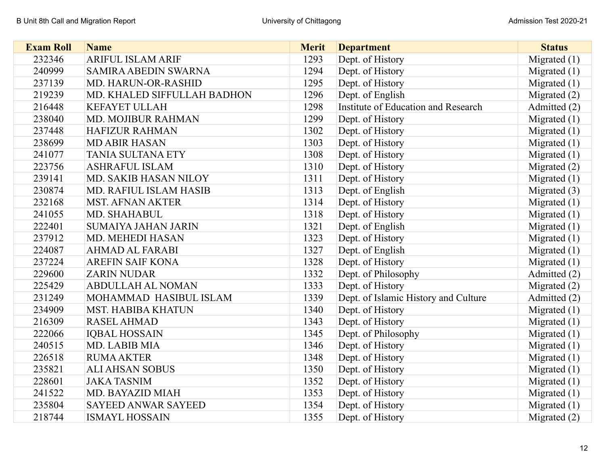| <b>Exam Roll</b> | <b>Name</b>                  | <b>Merit</b> | <b>Department</b>                    | <b>Status</b>  |
|------------------|------------------------------|--------------|--------------------------------------|----------------|
| 232346           | <b>ARIFUL ISLAM ARIF</b>     | 1293         | Dept. of History                     | Migrated $(1)$ |
| 240999           | <b>SAMIRA ABEDIN SWARNA</b>  | 1294         | Dept. of History                     | Migrated $(1)$ |
| 237139           | MD. HARUN-OR-RASHID          | 1295         | Dept. of History                     | Migrated $(1)$ |
| 219239           | MD. KHALED SIFFULLAH BADHON  | 1296         | Dept. of English                     | Migrated $(2)$ |
| 216448           | <b>KEFAYET ULLAH</b>         | 1298         | Institute of Education and Research  | Admitted (2)   |
| 238040           | MD. MOJIBUR RAHMAN           | 1299         | Dept. of History                     | Migrated $(1)$ |
| 237448           | <b>HAFIZUR RAHMAN</b>        | 1302         | Dept. of History                     | Migrated $(1)$ |
| 238699           | <b>MD ABIR HASAN</b>         | 1303         | Dept. of History                     | Migrated $(1)$ |
| 241077           | <b>TANIA SULTANA ETY</b>     | 1308         | Dept. of History                     | Migrated $(1)$ |
| 223756           | <b>ASHRAFUL ISLAM</b>        | 1310         | Dept. of History                     | Migrated $(2)$ |
| 239141           | <b>MD. SAKIB HASAN NILOY</b> | 1311         | Dept. of History                     | Migrated $(1)$ |
| 230874           | MD. RAFIUL ISLAM HASIB       | 1313         | Dept. of English                     | Migrated $(3)$ |
| 232168           | <b>MST. AFNAN AKTER</b>      | 1314         | Dept. of History                     | Migrated $(1)$ |
| 241055           | MD. SHAHABUL                 | 1318         | Dept. of History                     | Migrated $(1)$ |
| 222401           | <b>SUMAIYA JAHAN JARIN</b>   | 1321         | Dept. of English                     | Migrated $(1)$ |
| 237912           | MD. MEHEDI HASAN             | 1323         | Dept. of History                     | Migrated $(1)$ |
| 224087           | <b>AHMAD AL FARABI</b>       | 1327         | Dept. of English                     | Migrated $(1)$ |
| 237224           | <b>AREFIN SAIF KONA</b>      | 1328         | Dept. of History                     | Migrated $(1)$ |
| 229600           | <b>ZARIN NUDAR</b>           | 1332         | Dept. of Philosophy                  | Admitted (2)   |
| 225429           | <b>ABDULLAH AL NOMAN</b>     | 1333         | Dept. of History                     | Migrated $(2)$ |
| 231249           | MOHAMMAD HASIBUL ISLAM       | 1339         | Dept. of Islamic History and Culture | Admitted (2)   |
| 234909           | <b>MST. HABIBA KHATUN</b>    | 1340         | Dept. of History                     | Migrated $(1)$ |
| 216309           | <b>RASEL AHMAD</b>           | 1343         | Dept. of History                     | Migrated $(1)$ |
| 222066           | <b>IQBAL HOSSAIN</b>         | 1345         | Dept. of Philosophy                  | Migrated $(1)$ |
| 240515           | MD. LABIB MIA                | 1346         | Dept. of History                     | Migrated $(1)$ |
| 226518           | <b>RUMA AKTER</b>            | 1348         | Dept. of History                     | Migrated $(1)$ |
| 235821           | <b>ALI AHSAN SOBUS</b>       | 1350         | Dept. of History                     | Migrated $(1)$ |
| 228601           | <b>JAKA TASNIM</b>           | 1352         | Dept. of History                     | Migrated $(1)$ |
| 241522           | <b>MD. BAYAZID MIAH</b>      | 1353         | Dept. of History                     | Migrated $(1)$ |
| 235804           | <b>SAYEED ANWAR SAYEED</b>   | 1354         | Dept. of History                     | Migrated $(1)$ |
| 218744           | <b>ISMAYL HOSSAIN</b>        | 1355         | Dept. of History                     | Migrated $(2)$ |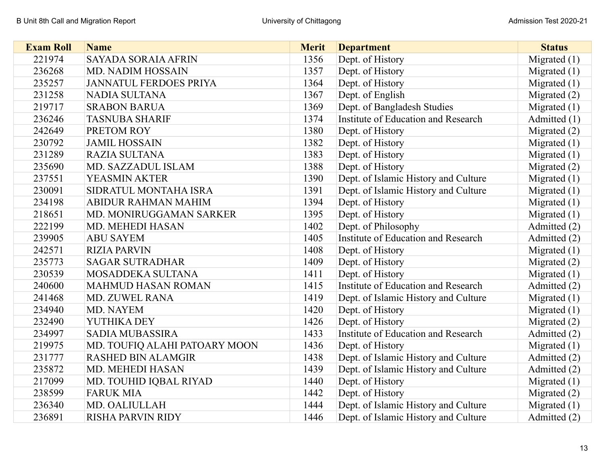| <b>Exam Roll</b> | <b>Name</b>                   | <b>Merit</b> | <b>Department</b>                    | <b>Status</b>  |
|------------------|-------------------------------|--------------|--------------------------------------|----------------|
| 221974           | <b>SAYADA SORAIA AFRIN</b>    | 1356         | Dept. of History                     | Migrated $(1)$ |
| 236268           | <b>MD. NADIM HOSSAIN</b>      | 1357         | Dept. of History                     | Migrated $(1)$ |
| 235257           | <b>JANNATUL FERDOES PRIYA</b> | 1364         | Dept. of History                     | Migrated $(1)$ |
| 231258           | <b>NADIA SULTANA</b>          | 1367         | Dept. of English                     | Migrated $(2)$ |
| 219717           | <b>SRABON BARUA</b>           | 1369         | Dept. of Bangladesh Studies          | Migrated $(1)$ |
| 236246           | <b>TASNUBA SHARIF</b>         | 1374         | Institute of Education and Research  | Admitted (1)   |
| 242649           | PRETOM ROY                    | 1380         | Dept. of History                     | Migrated $(2)$ |
| 230792           | <b>JAMIL HOSSAIN</b>          | 1382         | Dept. of History                     | Migrated $(1)$ |
| 231289           | <b>RAZIA SULTANA</b>          | 1383         | Dept. of History                     | Migrated $(1)$ |
| 235690           | MD. SAZZADUL ISLAM            | 1388         | Dept. of History                     | Migrated $(2)$ |
| 237551           | YEASMIN AKTER                 | 1390         | Dept. of Islamic History and Culture | Migrated $(1)$ |
| 230091           | SIDRATUL MONTAHA ISRA         | 1391         | Dept. of Islamic History and Culture | Migrated (1)   |
| 234198           | <b>ABIDUR RAHMAN MAHIM</b>    | 1394         | Dept. of History                     | Migrated $(1)$ |
| 218651           | MD. MONIRUGGAMAN SARKER       | 1395         | Dept. of History                     | Migrated $(1)$ |
| 222199           | <b>MD. MEHEDI HASAN</b>       | 1402         | Dept. of Philosophy                  | Admitted (2)   |
| 239905           | <b>ABU SAYEM</b>              | 1405         | Institute of Education and Research  | Admitted (2)   |
| 242571           | <b>RIZIA PARVIN</b>           | 1408         | Dept. of History                     | Migrated $(1)$ |
| 235773           | <b>SAGAR SUTRADHAR</b>        | 1409         | Dept. of History                     | Migrated (2)   |
| 230539           | MOSADDEKA SULTANA             | 1411         | Dept. of History                     | Migrated $(1)$ |
| 240600           | <b>MAHMUD HASAN ROMAN</b>     | 1415         | Institute of Education and Research  | Admitted (2)   |
| 241468           | MD. ZUWEL RANA                | 1419         | Dept. of Islamic History and Culture | Migrated $(1)$ |
| 234940           | MD. NAYEM                     | 1420         | Dept. of History                     | Migrated $(1)$ |
| 232490           | YUTHIKA DEY                   | 1426         | Dept. of History                     | Migrated $(2)$ |
| 234997           | <b>SADIA MUBASSIRA</b>        | 1433         | Institute of Education and Research  | Admitted (2)   |
| 219975           | MD. TOUFIQ ALAHI PATOARY MOON | 1436         | Dept. of History                     | Migrated $(1)$ |
| 231777           | <b>RASHED BIN ALAMGIR</b>     | 1438         | Dept. of Islamic History and Culture | Admitted (2)   |
| 235872           | MD. MEHEDI HASAN              | 1439         | Dept. of Islamic History and Culture | Admitted (2)   |
| 217099           | MD. TOUHID IQBAL RIYAD        | 1440         | Dept. of History                     | Migrated $(1)$ |
| 238599           | <b>FARUK MIA</b>              | 1442         | Dept. of History                     | Migrated $(2)$ |
| 236340           | MD. OALIULLAH                 | 1444         | Dept. of Islamic History and Culture | Migrated $(1)$ |
| 236891           | <b>RISHA PARVIN RIDY</b>      | 1446         | Dept. of Islamic History and Culture | Admitted (2)   |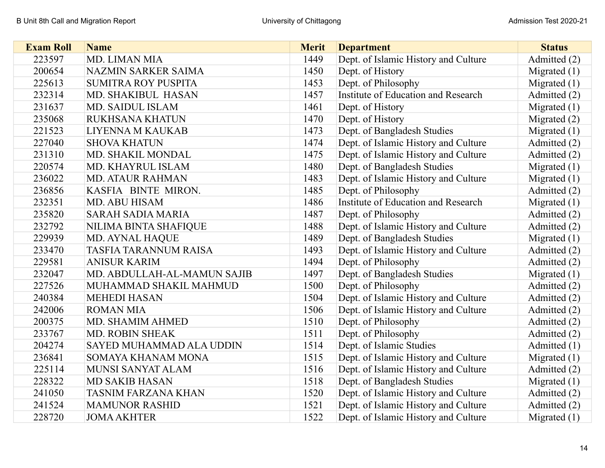| <b>Exam Roll</b> | <b>Name</b>                  | <b>Merit</b> | <b>Department</b>                    | <b>Status</b>  |
|------------------|------------------------------|--------------|--------------------------------------|----------------|
| 223597           | MD. LIMAN MIA                | 1449         | Dept. of Islamic History and Culture | Admitted (2)   |
| 200654           | NAZMIN SARKER SAIMA          | 1450         | Dept. of History                     | Migrated $(1)$ |
| 225613           | <b>SUMITRA ROY PUSPITA</b>   | 1453         | Dept. of Philosophy                  | Migrated $(1)$ |
| 232314           | MD. SHAKIBUL HASAN           | 1457         | Institute of Education and Research  | Admitted (2)   |
| 231637           | <b>MD. SAIDUL ISLAM</b>      | 1461         | Dept. of History                     | Migrated $(1)$ |
| 235068           | RUKHSANA KHATUN              | 1470         | Dept. of History                     | Migrated $(2)$ |
| 221523           | LIYENNA M KAUKAB             | 1473         | Dept. of Bangladesh Studies          | Migrated $(1)$ |
| 227040           | <b>SHOVA KHATUN</b>          | 1474         | Dept. of Islamic History and Culture | Admitted (2)   |
| 231310           | MD. SHAKIL MONDAL            | 1475         | Dept. of Islamic History and Culture | Admitted (2)   |
| 220574           | <b>MD. KHAYRUL ISLAM</b>     | 1480         | Dept. of Bangladesh Studies          | Migrated $(1)$ |
| 236022           | <b>MD. ATAUR RAHMAN</b>      | 1483         | Dept. of Islamic History and Culture | Migrated $(1)$ |
| 236856           | KASFIA BINTE MIRON.          | 1485         | Dept. of Philosophy                  | Admitted (2)   |
| 232351           | <b>MD. ABU HISAM</b>         | 1486         | Institute of Education and Research  | Migrated $(1)$ |
| 235820           | <b>SARAH SADIA MARIA</b>     | 1487         | Dept. of Philosophy                  | Admitted (2)   |
| 232792           | NILIMA BINTA SHAFIQUE        | 1488         | Dept. of Islamic History and Culture | Admitted (2)   |
| 229939           | <b>MD. AYNAL HAQUE</b>       | 1489         | Dept. of Bangladesh Studies          | Migrated $(1)$ |
| 233470           | <b>TASFIA TARANNUM RAISA</b> | 1493         | Dept. of Islamic History and Culture | Admitted (2)   |
| 229581           | <b>ANISUR KARIM</b>          | 1494         | Dept. of Philosophy                  | Admitted (2)   |
| 232047           | MD. ABDULLAH-AL-MAMUN SAJIB  | 1497         | Dept. of Bangladesh Studies          | Migrated $(1)$ |
| 227526           | MUHAMMAD SHAKIL MAHMUD       | 1500         | Dept. of Philosophy                  | Admitted (2)   |
| 240384           | <b>MEHEDI HASAN</b>          | 1504         | Dept. of Islamic History and Culture | Admitted (2)   |
| 242006           | <b>ROMAN MIA</b>             | 1506         | Dept. of Islamic History and Culture | Admitted (2)   |
| 200375           | <b>MD. SHAMIM AHMED</b>      | 1510         | Dept. of Philosophy                  | Admitted (2)   |
| 233767           | <b>MD. ROBIN SHEAK</b>       | 1511         | Dept. of Philosophy                  | Admitted (2)   |
| 204274           | SAYED MUHAMMAD ALA UDDIN     | 1514         | Dept. of Islamic Studies             | Admitted (1)   |
| 236841           | <b>SOMAYA KHANAM MONA</b>    | 1515         | Dept. of Islamic History and Culture | Migrated $(1)$ |
| 225114           | MUNSI SANYAT ALAM            | 1516         | Dept. of Islamic History and Culture | Admitted (2)   |
| 228322           | <b>MD SAKIB HASAN</b>        | 1518         | Dept. of Bangladesh Studies          | Migrated $(1)$ |
| 241050           | <b>TASNIM FARZANA KHAN</b>   | 1520         | Dept. of Islamic History and Culture | Admitted (2)   |
| 241524           | <b>MAMUNOR RASHID</b>        | 1521         | Dept. of Islamic History and Culture | Admitted (2)   |
| 228720           | <b>JOMA AKHTER</b>           | 1522         | Dept. of Islamic History and Culture | Migrated $(1)$ |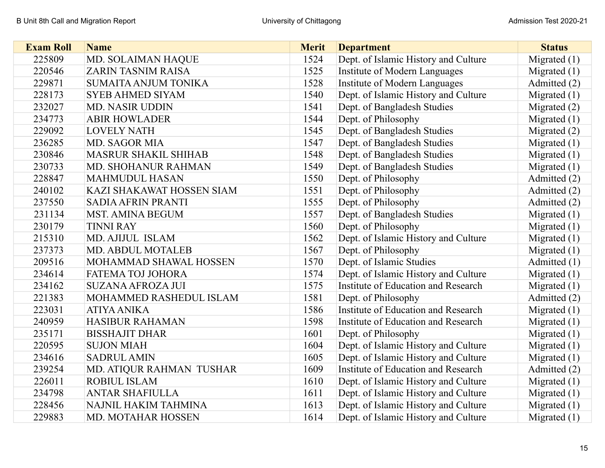| <b>Exam Roll</b> | <b>Name</b>                 | <b>Merit</b> | <b>Department</b>                    | <b>Status</b>  |
|------------------|-----------------------------|--------------|--------------------------------------|----------------|
| 225809           | MD. SOLAIMAN HAQUE          | 1524         | Dept. of Islamic History and Culture | Migrated $(1)$ |
| 220546           | <b>ZARIN TASNIM RAISA</b>   | 1525         | Institute of Modern Languages        | Migrated $(1)$ |
| 229871           | <b>SUMAITA ANJUM TONIKA</b> | 1528         | Institute of Modern Languages        | Admitted (2)   |
| 228173           | <b>SYEB AHMED SIYAM</b>     | 1540         | Dept. of Islamic History and Culture | Migrated $(1)$ |
| 232027           | <b>MD. NASIR UDDIN</b>      | 1541         | Dept. of Bangladesh Studies          | Migrated $(2)$ |
| 234773           | <b>ABIR HOWLADER</b>        | 1544         | Dept. of Philosophy                  | Migrated $(1)$ |
| 229092           | <b>LOVELY NATH</b>          | 1545         | Dept. of Bangladesh Studies          | Migrated $(2)$ |
| 236285           | <b>MD. SAGOR MIA</b>        | 1547         | Dept. of Bangladesh Studies          | Migrated $(1)$ |
| 230846           | <b>MASRUR SHAKIL SHIHAB</b> | 1548         | Dept. of Bangladesh Studies          | Migrated $(1)$ |
| 230733           | MD. SHOHANUR RAHMAN         | 1549         | Dept. of Bangladesh Studies          | Migrated $(1)$ |
| 228847           | <b>MAHMUDUL HASAN</b>       | 1550         | Dept. of Philosophy                  | Admitted (2)   |
| 240102           | KAZI SHAKAWAT HOSSEN SIAM   | 1551         | Dept. of Philosophy                  | Admitted (2)   |
| 237550           | <b>SADIA AFRIN PRANTI</b>   | 1555         | Dept. of Philosophy                  | Admitted (2)   |
| 231134           | <b>MST. AMINA BEGUM</b>     | 1557         | Dept. of Bangladesh Studies          | Migrated $(1)$ |
| 230179           | <b>TINNI RAY</b>            | 1560         | Dept. of Philosophy                  | Migrated $(1)$ |
| 215310           | MD. AJIJUL ISLAM            | 1562         | Dept. of Islamic History and Culture | Migrated $(1)$ |
| 237373           | <b>MD. ABDUL MOTALEB</b>    | 1567         | Dept. of Philosophy                  | Migrated $(1)$ |
| 209516           | MOHAMMAD SHAWAL HOSSEN      | 1570         | Dept. of Islamic Studies             | Admitted (1)   |
| 234614           | FATEMA TOJ JOHORA           | 1574         | Dept. of Islamic History and Culture | Migrated $(1)$ |
| 234162           | <b>SUZANA AFROZA JUI</b>    | 1575         | Institute of Education and Research  | Migrated $(1)$ |
| 221383           | MOHAMMED RASHEDUL ISLAM     | 1581         | Dept. of Philosophy                  | Admitted (2)   |
| 223031           | <b>ATIYA ANIKA</b>          | 1586         | Institute of Education and Research  | Migrated $(1)$ |
| 240959           | <b>HASIBUR RAHAMAN</b>      | 1598         | Institute of Education and Research  | Migrated $(1)$ |
| 235171           | <b>BISSHAJIT DHAR</b>       | 1601         | Dept. of Philosophy                  | Migrated $(1)$ |
| 220595           | <b>SUJON MIAH</b>           | 1604         | Dept. of Islamic History and Culture | Migrated $(1)$ |
| 234616           | <b>SADRUL AMIN</b>          | 1605         | Dept. of Islamic History and Culture | Migrated $(1)$ |
| 239254           | MD. ATIQUR RAHMAN TUSHAR    | 1609         | Institute of Education and Research  | Admitted (2)   |
| 226011           | ROBIUL ISLAM                | 1610         | Dept. of Islamic History and Culture | Migrated $(1)$ |
| 234798           | <b>ANTAR SHAFIULLA</b>      | 1611         | Dept. of Islamic History and Culture | Migrated $(1)$ |
| 228456           | NAJNIL HAKIM TAHMINA        | 1613         | Dept. of Islamic History and Culture | Migrated $(1)$ |
| 229883           | MD. MOTAHAR HOSSEN          | 1614         | Dept. of Islamic History and Culture | Migrated $(1)$ |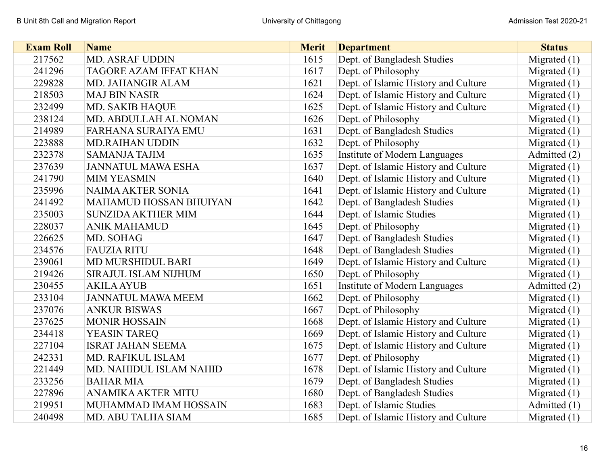| <b>Exam Roll</b> | <b>Name</b>                   | <b>Merit</b> | <b>Department</b>                    | <b>Status</b>  |
|------------------|-------------------------------|--------------|--------------------------------------|----------------|
| 217562           | <b>MD. ASRAF UDDIN</b>        | 1615         | Dept. of Bangladesh Studies          | Migrated (1)   |
| 241296           | <b>TAGORE AZAM IFFAT KHAN</b> | 1617         | Dept. of Philosophy                  | Migrated $(1)$ |
| 229828           | MD. JAHANGIR ALAM             | 1621         | Dept. of Islamic History and Culture | Migrated $(1)$ |
| 218503           | <b>MAJ BIN NASIR</b>          | 1624         | Dept. of Islamic History and Culture | Migrated $(1)$ |
| 232499           | <b>MD. SAKIB HAQUE</b>        | 1625         | Dept. of Islamic History and Culture | Migrated $(1)$ |
| 238124           | MD. ABDULLAH AL NOMAN         | 1626         | Dept. of Philosophy                  | Migrated $(1)$ |
| 214989           | <b>FARHANA SURAIYA EMU</b>    | 1631         | Dept. of Bangladesh Studies          | Migrated $(1)$ |
| 223888           | <b>MD.RAIHAN UDDIN</b>        | 1632         | Dept. of Philosophy                  | Migrated $(1)$ |
| 232378           | <b>SAMANJA TAJIM</b>          | 1635         | Institute of Modern Languages        | Admitted (2)   |
| 237639           | <b>JANNATUL MAWA ESHA</b>     | 1637         | Dept. of Islamic History and Culture | Migrated $(1)$ |
| 241790           | <b>MIM YEASMIN</b>            | 1640         | Dept. of Islamic History and Culture | Migrated $(1)$ |
| 235996           | <b>NAIMA AKTER SONIA</b>      | 1641         | Dept. of Islamic History and Culture | Migrated $(1)$ |
| 241492           | <b>MAHAMUD HOSSAN BHUIYAN</b> | 1642         | Dept. of Bangladesh Studies          | Migrated $(1)$ |
| 235003           | <b>SUNZIDA AKTHER MIM</b>     | 1644         | Dept. of Islamic Studies             | Migrated $(1)$ |
| 228037           | <b>ANIK MAHAMUD</b>           | 1645         | Dept. of Philosophy                  | Migrated $(1)$ |
| 226625           | MD. SOHAG                     | 1647         | Dept. of Bangladesh Studies          | Migrated $(1)$ |
| 234576           | <b>FAUZIA RITU</b>            | 1648         | Dept. of Bangladesh Studies          | Migrated $(1)$ |
| 239061           | MD MURSHIDUL BARI             | 1649         | Dept. of Islamic History and Culture | Migrated $(1)$ |
| 219426           | SIRAJUL ISLAM NIJHUM          | 1650         | Dept. of Philosophy                  | Migrated $(1)$ |
| 230455           | <b>AKILA AYUB</b>             | 1651         | Institute of Modern Languages        | Admitted (2)   |
| 233104           | <b>JANNATUL MAWA MEEM</b>     | 1662         | Dept. of Philosophy                  | Migrated $(1)$ |
| 237076           | <b>ANKUR BISWAS</b>           | 1667         | Dept. of Philosophy                  | Migrated $(1)$ |
| 237625           | <b>MONIR HOSSAIN</b>          | 1668         | Dept. of Islamic History and Culture | Migrated $(1)$ |
| 234418           | YEASIN TAREQ                  | 1669         | Dept. of Islamic History and Culture | Migrated $(1)$ |
| 227104           | <b>ISRAT JAHAN SEEMA</b>      | 1675         | Dept. of Islamic History and Culture | Migrated $(1)$ |
| 242331           | MD. RAFIKUL ISLAM             | 1677         | Dept. of Philosophy                  | Migrated $(1)$ |
| 221449           | MD. NAHIDUL ISLAM NAHID       | 1678         | Dept. of Islamic History and Culture | Migrated $(1)$ |
| 233256           | <b>BAHAR MIA</b>              | 1679         | Dept. of Bangladesh Studies          | Migrated $(1)$ |
| 227896           | ANAMIKA AKTER MITU            | 1680         | Dept. of Bangladesh Studies          | Migrated $(1)$ |
| 219951           | MUHAMMAD IMAM HOSSAIN         | 1683         | Dept. of Islamic Studies             | Admitted (1)   |
| 240498           | <b>MD. ABU TALHA SIAM</b>     | 1685         | Dept. of Islamic History and Culture | Migrated $(1)$ |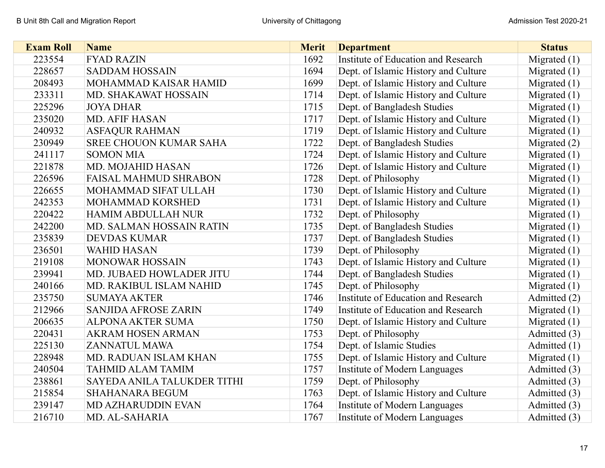| <b>Exam Roll</b> | <b>Name</b>                   | <b>Merit</b> | <b>Department</b>                    | <b>Status</b>  |
|------------------|-------------------------------|--------------|--------------------------------------|----------------|
| 223554           | <b>FYAD RAZIN</b>             | 1692         | Institute of Education and Research  | Migrated $(1)$ |
| 228657           | <b>SADDAM HOSSAIN</b>         | 1694         | Dept. of Islamic History and Culture | Migrated $(1)$ |
| 208493           | MOHAMMAD KAISAR HAMID         | 1699         | Dept. of Islamic History and Culture | Migrated $(1)$ |
| 233311           | MD. SHAKAWAT HOSSAIN          | 1714         | Dept. of Islamic History and Culture | Migrated $(1)$ |
| 225296           | <b>JOYA DHAR</b>              | 1715         | Dept. of Bangladesh Studies          | Migrated $(1)$ |
| 235020           | <b>MD. AFIF HASAN</b>         | 1717         | Dept. of Islamic History and Culture | Migrated $(1)$ |
| 240932           | <b>ASFAQUR RAHMAN</b>         | 1719         | Dept. of Islamic History and Culture | Migrated $(1)$ |
| 230949           | <b>SREE CHOUON KUMAR SAHA</b> | 1722         | Dept. of Bangladesh Studies          | Migrated $(2)$ |
| 241117           | <b>SOMON MIA</b>              | 1724         | Dept. of Islamic History and Culture | Migrated $(1)$ |
| 221878           | MD. MOJAHID HASAN             | 1726         | Dept. of Islamic History and Culture | Migrated $(1)$ |
| 226596           | <b>FAISAL MAHMUD SHRABON</b>  | 1728         | Dept. of Philosophy                  | Migrated $(1)$ |
| 226655           | MOHAMMAD SIFAT ULLAH          | 1730         | Dept. of Islamic History and Culture | Migrated $(1)$ |
| 242353           | MOHAMMAD KORSHED              | 1731         | Dept. of Islamic History and Culture | Migrated $(1)$ |
| 220422           | <b>HAMIM ABDULLAH NUR</b>     | 1732         | Dept. of Philosophy                  | Migrated $(1)$ |
| 242200           | MD. SALMAN HOSSAIN RATIN      | 1735         | Dept. of Bangladesh Studies          | Migrated $(1)$ |
| 235839           | <b>DEVDAS KUMAR</b>           | 1737         | Dept. of Bangladesh Studies          | Migrated $(1)$ |
| 236501           | <b>WAHID HASAN</b>            | 1739         | Dept. of Philosophy                  | Migrated $(1)$ |
| 219108           | <b>MONOWAR HOSSAIN</b>        | 1743         | Dept. of Islamic History and Culture | Migrated $(1)$ |
| 239941           | MD. JUBAED HOWLADER JITU      | 1744         | Dept. of Bangladesh Studies          | Migrated $(1)$ |
| 240166           | MD. RAKIBUL ISLAM NAHID       | 1745         | Dept. of Philosophy                  | Migrated $(1)$ |
| 235750           | <b>SUMAYA AKTER</b>           | 1746         | Institute of Education and Research  | Admitted (2)   |
| 212966           | <b>SANJIDA AFROSE ZARIN</b>   | 1749         | Institute of Education and Research  | Migrated $(1)$ |
| 206635           | <b>ALPONA AKTER SUMA</b>      | 1750         | Dept. of Islamic History and Culture | Migrated $(1)$ |
| 220431           | <b>AKRAM HOSEN ARMAN</b>      | 1753         | Dept. of Philosophy                  | Admitted (3)   |
| 225130           | <b>ZANNATUL MAWA</b>          | 1754         | Dept. of Islamic Studies             | Admitted (1)   |
| 228948           | <b>MD. RADUAN ISLAM KHAN</b>  | 1755         | Dept. of Islamic History and Culture | Migrated $(1)$ |
| 240504           | <b>TAHMID ALAM TAMIM</b>      | 1757         | Institute of Modern Languages        | Admitted (3)   |
| 238861           | SAYEDA ANILA TALUKDER TITHI   | 1759         | Dept. of Philosophy                  | Admitted (3)   |
| 215854           | <b>SHAHANARA BEGUM</b>        | 1763         | Dept. of Islamic History and Culture | Admitted (3)   |
| 239147           | <b>MD AZHARUDDIN EVAN</b>     | 1764         | Institute of Modern Languages        | Admitted (3)   |
| 216710           | MD. AL-SAHARIA                | 1767         | Institute of Modern Languages        | Admitted (3)   |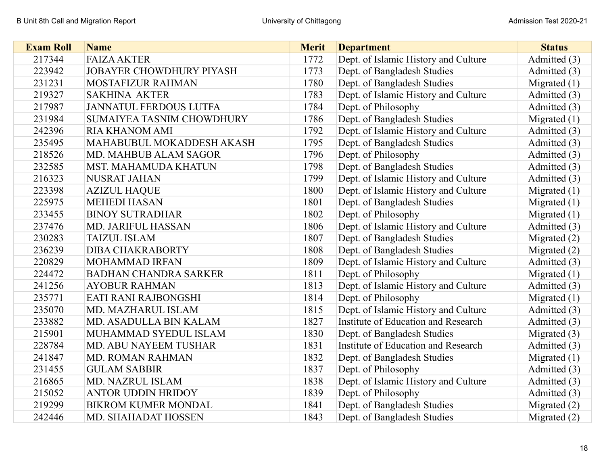| <b>Exam Roll</b> | <b>Name</b>                      | <b>Merit</b> | <b>Department</b>                    | <b>Status</b>  |
|------------------|----------------------------------|--------------|--------------------------------------|----------------|
| 217344           | <b>FAIZA AKTER</b>               | 1772         | Dept. of Islamic History and Culture | Admitted (3)   |
| 223942           | <b>JOBAYER CHOWDHURY PIYASH</b>  | 1773         | Dept. of Bangladesh Studies          | Admitted (3)   |
| 231231           | MOSTAFIZUR RAHMAN                | 1780         | Dept. of Bangladesh Studies          | Migrated $(1)$ |
| 219327           | <b>SAKHINA AKTER</b>             | 1783         | Dept. of Islamic History and Culture | Admitted (3)   |
| 217987           | <b>JANNATUL FERDOUS LUTFA</b>    | 1784         | Dept. of Philosophy                  | Admitted (3)   |
| 231984           | <b>SUMAIYEA TASNIM CHOWDHURY</b> | 1786         | Dept. of Bangladesh Studies          | Migrated $(1)$ |
| 242396           | <b>RIA KHANOM AMI</b>            | 1792         | Dept. of Islamic History and Culture | Admitted (3)   |
| 235495           | MAHABUBUL MOKADDESH AKASH        | 1795         | Dept. of Bangladesh Studies          | Admitted (3)   |
| 218526           | MD. MAHBUB ALAM SAGOR            | 1796         | Dept. of Philosophy                  | Admitted (3)   |
| 232585           | <b>MST. MAHAMUDA KHATUN</b>      | 1798         | Dept. of Bangladesh Studies          | Admitted (3)   |
| 216323           | <b>NUSRAT JAHAN</b>              | 1799         | Dept. of Islamic History and Culture | Admitted (3)   |
| 223398           | <b>AZIZUL HAQUE</b>              | 1800         | Dept. of Islamic History and Culture | Migrated $(1)$ |
| 225975           | <b>MEHEDI HASAN</b>              | 1801         | Dept. of Bangladesh Studies          | Migrated $(1)$ |
| 233455           | <b>BINOY SUTRADHAR</b>           | 1802         | Dept. of Philosophy                  | Migrated $(1)$ |
| 237476           | <b>MD. JARIFUL HASSAN</b>        | 1806         | Dept. of Islamic History and Culture | Admitted (3)   |
| 230283           | <b>TAIZUL ISLAM</b>              | 1807         | Dept. of Bangladesh Studies          | Migrated $(2)$ |
| 236239           | <b>DIBA CHAKRABORTY</b>          | 1808         | Dept. of Bangladesh Studies          | Migrated $(2)$ |
| 220829           | <b>MOHAMMAD IRFAN</b>            | 1809         | Dept. of Islamic History and Culture | Admitted (3)   |
| 224472           | <b>BADHAN CHANDRA SARKER</b>     | 1811         | Dept. of Philosophy                  | Migrated $(1)$ |
| 241256           | <b>AYOBUR RAHMAN</b>             | 1813         | Dept. of Islamic History and Culture | Admitted (3)   |
| 235771           | EATI RANI RAJBONGSHI             | 1814         | Dept. of Philosophy                  | Migrated $(1)$ |
| 235070           | MD. MAZHARUL ISLAM               | 1815         | Dept. of Islamic History and Culture | Admitted (3)   |
| 233882           | MD. ASADULLA BIN KALAM           | 1827         | Institute of Education and Research  | Admitted (3)   |
| 215901           | MUHAMMAD SYEDUL ISLAM            | 1830         | Dept. of Bangladesh Studies          | Migrated $(3)$ |
| 228784           | <b>MD. ABU NAYEEM TUSHAR</b>     | 1831         | Institute of Education and Research  | Admitted (3)   |
| 241847           | <b>MD. ROMAN RAHMAN</b>          | 1832         | Dept. of Bangladesh Studies          | Migrated $(1)$ |
| 231455           | <b>GULAM SABBIR</b>              | 1837         | Dept. of Philosophy                  | Admitted (3)   |
| 216865           | <b>MD. NAZRUL ISLAM</b>          | 1838         | Dept. of Islamic History and Culture | Admitted (3)   |
| 215052           | <b>ANTOR UDDIN HRIDOY</b>        | 1839         | Dept. of Philosophy                  | Admitted (3)   |
| 219299           | <b>BIKROM KUMER MONDAL</b>       | 1841         | Dept. of Bangladesh Studies          | Migrated $(2)$ |
| 242446           | MD. SHAHADAT HOSSEN              | 1843         | Dept. of Bangladesh Studies          | Migrated $(2)$ |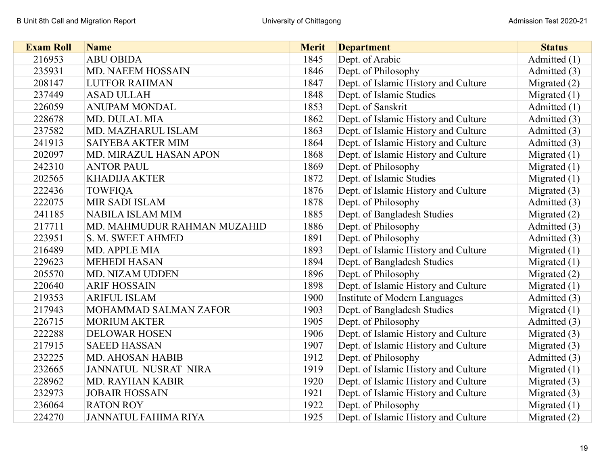| <b>Exam Roll</b> | <b>Name</b>                 | <b>Merit</b> | <b>Department</b>                    | <b>Status</b>  |
|------------------|-----------------------------|--------------|--------------------------------------|----------------|
| 216953           | <b>ABU OBIDA</b>            | 1845         | Dept. of Arabic                      | Admitted (1)   |
| 235931           | <b>MD. NAEEM HOSSAIN</b>    | 1846         | Dept. of Philosophy                  | Admitted (3)   |
| 208147           | <b>LUTFOR RAHMAN</b>        | 1847         | Dept. of Islamic History and Culture | Migrated $(2)$ |
| 237449           | <b>ASAD ULLAH</b>           | 1848         | Dept. of Islamic Studies             | Migrated $(1)$ |
| 226059           | <b>ANUPAM MONDAL</b>        | 1853         | Dept. of Sanskrit                    | Admitted (1)   |
| 228678           | <b>MD. DULAL MIA</b>        | 1862         | Dept. of Islamic History and Culture | Admitted (3)   |
| 237582           | MD. MAZHARUL ISLAM          | 1863         | Dept. of Islamic History and Culture | Admitted (3)   |
| 241913           | <b>SAIYEBA AKTER MIM</b>    | 1864         | Dept. of Islamic History and Culture | Admitted (3)   |
| 202097           | MD. MIRAZUL HASAN APON      | 1868         | Dept. of Islamic History and Culture | Migrated $(1)$ |
| 242310           | <b>ANTOR PAUL</b>           | 1869         | Dept. of Philosophy                  | Migrated $(1)$ |
| 202565           | <b>KHADIJA AKTER</b>        | 1872         | Dept. of Islamic Studies             | Migrated $(1)$ |
| 222436           | <b>TOWFIQA</b>              | 1876         | Dept. of Islamic History and Culture | Migrated (3)   |
| 222075           | <b>MIR SADI ISLAM</b>       | 1878         | Dept. of Philosophy                  | Admitted (3)   |
| 241185           | <b>NABILA ISLAM MIM</b>     | 1885         | Dept. of Bangladesh Studies          | Migrated $(2)$ |
| 217711           | MD. MAHMUDUR RAHMAN MUZAHID | 1886         | Dept. of Philosophy                  | Admitted (3)   |
| 223951           | S. M. SWEET AHMED           | 1891         | Dept. of Philosophy                  | Admitted (3)   |
| 216489           | <b>MD. APPLE MIA</b>        | 1893         | Dept. of Islamic History and Culture | Migrated $(1)$ |
| 229623           | <b>MEHEDI HASAN</b>         | 1894         | Dept. of Bangladesh Studies          | Migrated $(1)$ |
| 205570           | <b>MD. NIZAM UDDEN</b>      | 1896         | Dept. of Philosophy                  | Migrated $(2)$ |
| 220640           | <b>ARIF HOSSAIN</b>         | 1898         | Dept. of Islamic History and Culture | Migrated $(1)$ |
| 219353           | <b>ARIFUL ISLAM</b>         | 1900         | Institute of Modern Languages        | Admitted (3)   |
| 217943           | MOHAMMAD SALMAN ZAFOR       | 1903         | Dept. of Bangladesh Studies          | Migrated $(1)$ |
| 226715           | <b>MORIUM AKTER</b>         | 1905         | Dept. of Philosophy                  | Admitted (3)   |
| 222288           | <b>DELOWAR HOSEN</b>        | 1906         | Dept. of Islamic History and Culture | Migrated $(3)$ |
| 217915           | <b>SAEED HASSAN</b>         | 1907         | Dept. of Islamic History and Culture | Migrated $(3)$ |
| 232225           | <b>MD. AHOSAN HABIB</b>     | 1912         | Dept. of Philosophy                  | Admitted (3)   |
| 232665           | JANNATUL NUSRAT NIRA        | 1919         | Dept. of Islamic History and Culture | Migrated $(1)$ |
| 228962           | <b>MD. RAYHAN KABIR</b>     | 1920         | Dept. of Islamic History and Culture | Migrated $(3)$ |
| 232973           | <b>JOBAIR HOSSAIN</b>       | 1921         | Dept. of Islamic History and Culture | Migrated $(3)$ |
| 236064           | <b>RATON ROY</b>            | 1922         | Dept. of Philosophy                  | Migrated $(1)$ |
| 224270           | <b>JANNATUL FAHIMA RIYA</b> | 1925         | Dept. of Islamic History and Culture | Migrated $(2)$ |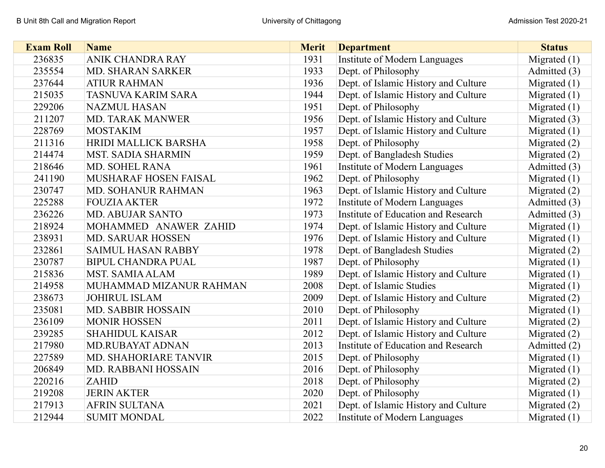| <b>Exam Roll</b> | <b>Name</b>                  | <b>Merit</b> | <b>Department</b>                    | <b>Status</b>  |
|------------------|------------------------------|--------------|--------------------------------------|----------------|
| 236835           | ANIK CHANDRA RAY             | 1931         | Institute of Modern Languages        | Migrated $(1)$ |
| 235554           | <b>MD. SHARAN SARKER</b>     | 1933         | Dept. of Philosophy                  | Admitted (3)   |
| 237644           | <b>ATIUR RAHMAN</b>          | 1936         | Dept. of Islamic History and Culture | Migrated $(1)$ |
| 215035           | <b>TASNUVA KARIM SARA</b>    | 1944         | Dept. of Islamic History and Culture | Migrated $(1)$ |
| 229206           | <b>NAZMUL HASAN</b>          | 1951         | Dept. of Philosophy                  | Migrated $(1)$ |
| 211207           | <b>MD. TARAK MANWER</b>      | 1956         | Dept. of Islamic History and Culture | Migrated $(3)$ |
| 228769           | <b>MOSTAKIM</b>              | 1957         | Dept. of Islamic History and Culture | Migrated $(1)$ |
| 211316           | <b>HRIDI MALLICK BARSHA</b>  | 1958         | Dept. of Philosophy                  | Migrated $(2)$ |
| 214474           | <b>MST. SADIA SHARMIN</b>    | 1959         | Dept. of Bangladesh Studies          | Migrated $(2)$ |
| 218646           | <b>MD. SOHEL RANA</b>        | 1961         | Institute of Modern Languages        | Admitted (3)   |
| 241190           | <b>MUSHARAF HOSEN FAISAL</b> | 1962         | Dept. of Philosophy                  | Migrated $(1)$ |
| 230747           | <b>MD. SOHANUR RAHMAN</b>    | 1963         | Dept. of Islamic History and Culture | Migrated $(2)$ |
| 225288           | <b>FOUZIA AKTER</b>          | 1972         | Institute of Modern Languages        | Admitted (3)   |
| 236226           | <b>MD. ABUJAR SANTO</b>      | 1973         | Institute of Education and Research  | Admitted (3)   |
| 218924           | MOHAMMED ANAWER ZAHID        | 1974         | Dept. of Islamic History and Culture | Migrated $(1)$ |
| 238931           | <b>MD. SARUAR HOSSEN</b>     | 1976         | Dept. of Islamic History and Culture | Migrated $(1)$ |
| 232861           | <b>SAIMUL HASAN RABBY</b>    | 1978         | Dept. of Bangladesh Studies          | Migrated $(2)$ |
| 230787           | <b>BIPUL CHANDRA PUAL</b>    | 1987         | Dept. of Philosophy                  | Migrated $(1)$ |
| 215836           | <b>MST. SAMIA ALAM</b>       | 1989         | Dept. of Islamic History and Culture | Migrated $(1)$ |
| 214958           | MUHAMMAD MIZANUR RAHMAN      | 2008         | Dept. of Islamic Studies             | Migrated $(1)$ |
| 238673           | <b>JOHIRUL ISLAM</b>         | 2009         | Dept. of Islamic History and Culture | Migrated $(2)$ |
| 235081           | <b>MD. SABBIR HOSSAIN</b>    | 2010         | Dept. of Philosophy                  | Migrated $(1)$ |
| 236109           | <b>MONIR HOSSEN</b>          | 2011         | Dept. of Islamic History and Culture | Migrated $(2)$ |
| 239285           | <b>SHAHIDUL KAISAR</b>       | 2012         | Dept. of Islamic History and Culture | Migrated $(2)$ |
| 217980           | <b>MD.RUBAYAT ADNAN</b>      | 2013         | Institute of Education and Research  | Admitted (2)   |
| 227589           | MD. SHAHORIARE TANVIR        | 2015         | Dept. of Philosophy                  | Migrated $(1)$ |
| 206849           | MD. RABBANI HOSSAIN          | 2016         | Dept. of Philosophy                  | Migrated $(1)$ |
| 220216           | <b>ZAHID</b>                 | 2018         | Dept. of Philosophy                  | Migrated $(2)$ |
| 219208           | <b>JERIN AKTER</b>           | 2020         | Dept. of Philosophy                  | Migrated $(1)$ |
| 217913           | <b>AFRIN SULTANA</b>         | 2021         | Dept. of Islamic History and Culture | Migrated $(2)$ |
| 212944           | <b>SUMIT MONDAL</b>          | 2022         | Institute of Modern Languages        | Migrated $(1)$ |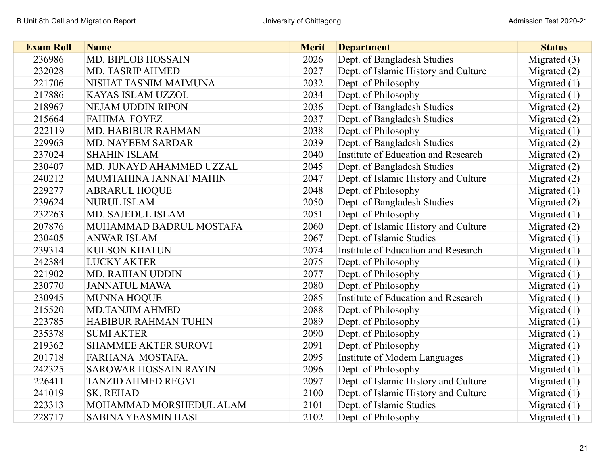| <b>Exam Roll</b> | <b>Name</b>                  | <b>Merit</b> | <b>Department</b>                    | <b>Status</b>  |
|------------------|------------------------------|--------------|--------------------------------------|----------------|
| 236986           | <b>MD. BIPLOB HOSSAIN</b>    | 2026         | Dept. of Bangladesh Studies          | Migrated (3)   |
| 232028           | <b>MD. TASRIP AHMED</b>      | 2027         | Dept. of Islamic History and Culture | Migrated $(2)$ |
| 221706           | NISHAT TASNIM MAIMUNA        | 2032         | Dept. of Philosophy                  | Migrated $(1)$ |
| 217886           | KAYAS ISLAM UZZOL            | 2034         | Dept. of Philosophy                  | Migrated $(1)$ |
| 218967           | <b>NEJAM UDDIN RIPON</b>     | 2036         | Dept. of Bangladesh Studies          | Migrated $(2)$ |
| 215664           | <b>FAHIMA FOYEZ</b>          | 2037         | Dept. of Bangladesh Studies          | Migrated $(2)$ |
| 222119           | MD. HABIBUR RAHMAN           | 2038         | Dept. of Philosophy                  | Migrated $(1)$ |
| 229963           | <b>MD. NAYEEM SARDAR</b>     | 2039         | Dept. of Bangladesh Studies          | Migrated $(2)$ |
| 237024           | <b>SHAHIN ISLAM</b>          | 2040         | Institute of Education and Research  | Migrated $(2)$ |
| 230407           | MD. JUNAYD AHAMMED UZZAL     | 2045         | Dept. of Bangladesh Studies          | Migrated $(2)$ |
| 240212           | MUMTAHINA JANNAT MAHIN       | 2047         | Dept. of Islamic History and Culture | Migrated $(2)$ |
| 229277           | <b>ABRARUL HOQUE</b>         | 2048         | Dept. of Philosophy                  | Migrated $(1)$ |
| 239624           | <b>NURUL ISLAM</b>           | 2050         | Dept. of Bangladesh Studies          | Migrated (2)   |
| 232263           | MD. SAJEDUL ISLAM            | 2051         | Dept. of Philosophy                  | Migrated $(1)$ |
| 207876           | MUHAMMAD BADRUL MOSTAFA      | 2060         | Dept. of Islamic History and Culture | Migrated $(2)$ |
| 230405           | <b>ANWAR ISLAM</b>           | 2067         | Dept. of Islamic Studies             | Migrated $(1)$ |
| 239314           | <b>KULSON KHATUN</b>         | 2074         | Institute of Education and Research  | Migrated $(1)$ |
| 242384           | <b>LUCKY AKTER</b>           | 2075         | Dept. of Philosophy                  | Migrated $(1)$ |
| 221902           | <b>MD. RAIHAN UDDIN</b>      | 2077         | Dept. of Philosophy                  | Migrated $(1)$ |
| 230770           | <b>JANNATUL MAWA</b>         | 2080         | Dept. of Philosophy                  | Migrated $(1)$ |
| 230945           | <b>MUNNA HOQUE</b>           | 2085         | Institute of Education and Research  | Migrated $(1)$ |
| 215520           | <b>MD.TANJIM AHMED</b>       | 2088         | Dept. of Philosophy                  | Migrated $(1)$ |
| 223785           | <b>HABIBUR RAHMAN TUHIN</b>  | 2089         | Dept. of Philosophy                  | Migrated $(1)$ |
| 235378           | <b>SUMI AKTER</b>            | 2090         | Dept. of Philosophy                  | Migrated $(1)$ |
| 219362           | <b>SHAMMEE AKTER SUROVI</b>  | 2091         | Dept. of Philosophy                  | Migrated $(1)$ |
| 201718           | FARHANA MOSTAFA.             | 2095         | Institute of Modern Languages        | Migrated $(1)$ |
| 242325           | <b>SAROWAR HOSSAIN RAYIN</b> | 2096         | Dept. of Philosophy                  | Migrated $(1)$ |
| 226411           | <b>TANZID AHMED REGVI</b>    | 2097         | Dept. of Islamic History and Culture | Migrated $(1)$ |
| 241019           | <b>SK. REHAD</b>             | 2100         | Dept. of Islamic History and Culture | Migrated $(1)$ |
| 223313           | MOHAMMAD MORSHEDUL ALAM      | 2101         | Dept. of Islamic Studies             | Migrated $(1)$ |
| 228717           | <b>SABINA YEASMIN HASI</b>   | 2102         | Dept. of Philosophy                  | Migrated $(1)$ |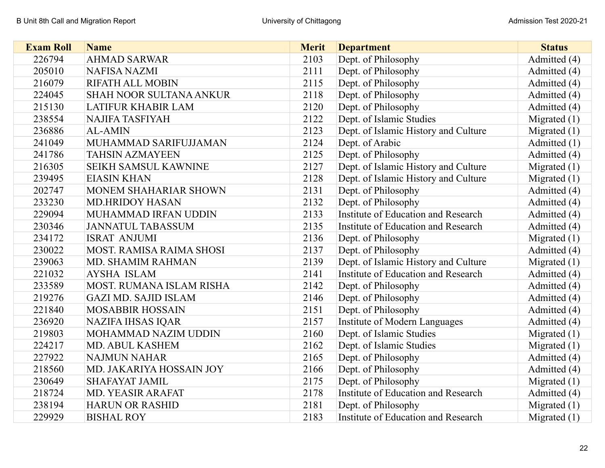| <b>Exam Roll</b> | <b>Name</b>                     | <b>Merit</b> | <b>Department</b>                    | <b>Status</b>  |
|------------------|---------------------------------|--------------|--------------------------------------|----------------|
| 226794           | <b>AHMAD SARWAR</b>             | 2103         | Dept. of Philosophy                  | Admitted (4)   |
| 205010           | <b>NAFISA NAZMI</b>             | 2111         | Dept. of Philosophy                  | Admitted (4)   |
| 216079           | <b>RIFATH ALL MOBIN</b>         | 2115         | Dept. of Philosophy                  | Admitted (4)   |
| 224045           | <b>SHAH NOOR SULTANA ANKUR</b>  | 2118         | Dept. of Philosophy                  | Admitted (4)   |
| 215130           | <b>LATIFUR KHABIR LAM</b>       | 2120         | Dept. of Philosophy                  | Admitted (4)   |
| 238554           | <b>NAJIFA TASFIYAH</b>          | 2122         | Dept. of Islamic Studies             | Migrated $(1)$ |
| 236886           | <b>AL-AMIN</b>                  | 2123         | Dept. of Islamic History and Culture | Migrated $(1)$ |
| 241049           | MUHAMMAD SARIFUJJAMAN           | 2124         | Dept. of Arabic                      | Admitted (1)   |
| 241786           | <b>TAHSIN AZMAYEEN</b>          | 2125         | Dept. of Philosophy                  | Admitted (4)   |
| 216305           | <b>SEIKH SAMSUL KAWNINE</b>     | 2127         | Dept. of Islamic History and Culture | Migrated $(1)$ |
| 239495           | <b>EIASIN KHAN</b>              | 2128         | Dept. of Islamic History and Culture | Migrated $(1)$ |
| 202747           | <b>MONEM SHAHARIAR SHOWN</b>    | 2131         | Dept. of Philosophy                  | Admitted (4)   |
| 233230           | <b>MD.HRIDOY HASAN</b>          | 2132         | Dept. of Philosophy                  | Admitted (4)   |
| 229094           | MUHAMMAD IRFAN UDDIN            | 2133         | Institute of Education and Research  | Admitted (4)   |
| 230346           | <b>JANNATUL TABASSUM</b>        | 2135         | Institute of Education and Research  | Admitted (4)   |
| 234172           | <b>ISRAT ANJUMI</b>             | 2136         | Dept. of Philosophy                  | Migrated $(1)$ |
| 230022           | <b>MOST. RAMISA RAIMA SHOSI</b> | 2137         | Dept. of Philosophy                  | Admitted (4)   |
| 239063           | MD. SHAMIM RAHMAN               | 2139         | Dept. of Islamic History and Culture | Migrated $(1)$ |
| 221032           | <b>AYSHA ISLAM</b>              | 2141         | Institute of Education and Research  | Admitted (4)   |
| 233589           | MOST. RUMANA ISLAM RISHA        | 2142         | Dept. of Philosophy                  | Admitted (4)   |
| 219276           | <b>GAZI MD. SAJID ISLAM</b>     | 2146         | Dept. of Philosophy                  | Admitted (4)   |
| 221840           | <b>MOSABBIR HOSSAIN</b>         | 2151         | Dept. of Philosophy                  | Admitted (4)   |
| 236920           | <b>NAZIFA IHSAS IQAR</b>        | 2157         | Institute of Modern Languages        | Admitted (4)   |
| 219803           | <b>MOHAMMAD NAZIM UDDIN</b>     | 2160         | Dept. of Islamic Studies             | Migrated $(1)$ |
| 224217           | <b>MD. ABUL KASHEM</b>          | 2162         | Dept. of Islamic Studies             | Migrated $(1)$ |
| 227922           | <b>NAJMUN NAHAR</b>             | 2165         | Dept. of Philosophy                  | Admitted (4)   |
| 218560           | MD. JAKARIYA HOSSAIN JOY        | 2166         | Dept. of Philosophy                  | Admitted (4)   |
| 230649           | <b>SHAFAYAT JAMIL</b>           | 2175         | Dept. of Philosophy                  | Migrated $(1)$ |
| 218724           | <b>MD. YEASIR ARAFAT</b>        | 2178         | Institute of Education and Research  | Admitted (4)   |
| 238194           | <b>HARUN OR RASHID</b>          | 2181         | Dept. of Philosophy                  | Migrated $(1)$ |
| 229929           | <b>BISHAL ROY</b>               | 2183         | Institute of Education and Research  | Migrated $(1)$ |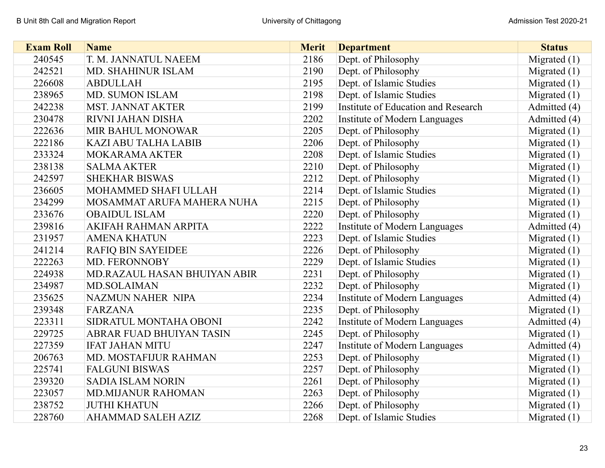| <b>Exam Roll</b> | <b>Name</b>                  | <b>Merit</b> | <b>Department</b>                    | <b>Status</b>  |
|------------------|------------------------------|--------------|--------------------------------------|----------------|
| 240545           | T. M. JANNATUL NAEEM         | 2186         | Dept. of Philosophy                  | Migrated $(1)$ |
| 242521           | MD. SHAHINUR ISLAM           | 2190         | Dept. of Philosophy                  | Migrated $(1)$ |
| 226608           | <b>ABDULLAH</b>              | 2195         | Dept. of Islamic Studies             | Migrated $(1)$ |
| 238965           | <b>MD. SUMON ISLAM</b>       | 2198         | Dept. of Islamic Studies             | Migrated $(1)$ |
| 242238           | <b>MST. JANNAT AKTER</b>     | 2199         | Institute of Education and Research  | Admitted (4)   |
| 230478           | <b>RIVNI JAHAN DISHA</b>     | 2202         | Institute of Modern Languages        | Admitted (4)   |
| 222636           | <b>MIR BAHUL MONOWAR</b>     | 2205         | Dept. of Philosophy                  | Migrated $(1)$ |
| 222186           | <b>KAZI ABU TALHA LABIB</b>  | 2206         | Dept. of Philosophy                  | Migrated $(1)$ |
| 233324           | <b>MOKARAMA AKTER</b>        | 2208         | Dept. of Islamic Studies             | Migrated $(1)$ |
| 238138           | <b>SALMA AKTER</b>           | 2210         | Dept. of Philosophy                  | Migrated $(1)$ |
| 242597           | <b>SHEKHAR BISWAS</b>        | 2212         | Dept. of Philosophy                  | Migrated $(1)$ |
| 236605           | MOHAMMED SHAFI ULLAH         | 2214         | Dept. of Islamic Studies             | Migrated $(1)$ |
| 234299           | MOSAMMAT ARUFA MAHERA NUHA   | 2215         | Dept. of Philosophy                  | Migrated $(1)$ |
| 233676           | <b>OBAIDUL ISLAM</b>         | 2220         | Dept. of Philosophy                  | Migrated $(1)$ |
| 239816           | AKIFAH RAHMAN ARPITA         | 2222         | Institute of Modern Languages        | Admitted (4)   |
| 231957           | <b>AMENA KHATUN</b>          | 2223         | Dept. of Islamic Studies             | Migrated $(1)$ |
| 241214           | <b>RAFIQ BIN SAYEIDEE</b>    | 2226         | Dept. of Philosophy                  | Migrated $(1)$ |
| 222263           | MD. FERONNOBY                | 2229         | Dept. of Islamic Studies             | Migrated $(1)$ |
| 224938           | MD.RAZAUL HASAN BHUIYAN ABIR | 2231         | Dept. of Philosophy                  | Migrated $(1)$ |
| 234987           | MD.SOLAIMAN                  | 2232         | Dept. of Philosophy                  | Migrated $(1)$ |
| 235625           | <b>NAZMUN NAHER NIPA</b>     | 2234         | Institute of Modern Languages        | Admitted (4)   |
| 239348           | <b>FARZANA</b>               | 2235         | Dept. of Philosophy                  | Migrated $(1)$ |
| 223311           | SIDRATUL MONTAHA OBONI       | 2242         | Institute of Modern Languages        | Admitted (4)   |
| 229725           | ABRAR FUAD BHUIYAN TASIN     | 2245         | Dept. of Philosophy                  | Migrated $(1)$ |
| 227359           | <b>IFAT JAHAN MITU</b>       | 2247         | <b>Institute of Modern Languages</b> | Admitted (4)   |
| 206763           | <b>MD. MOSTAFIJUR RAHMAN</b> | 2253         | Dept. of Philosophy                  | Migrated $(1)$ |
| 225741           | <b>FALGUNI BISWAS</b>        | 2257         | Dept. of Philosophy                  | Migrated $(1)$ |
| 239320           | <b>SADIA ISLAM NORIN</b>     | 2261         | Dept. of Philosophy                  | Migrated $(1)$ |
| 223057           | <b>MD.MIJANUR RAHOMAN</b>    | 2263         | Dept. of Philosophy                  | Migrated $(1)$ |
| 238752           | <b>JUTHI KHATUN</b>          | 2266         | Dept. of Philosophy                  | Migrated $(1)$ |
| 228760           | <b>AHAMMAD SALEH AZIZ</b>    | 2268         | Dept. of Islamic Studies             | Migrated $(1)$ |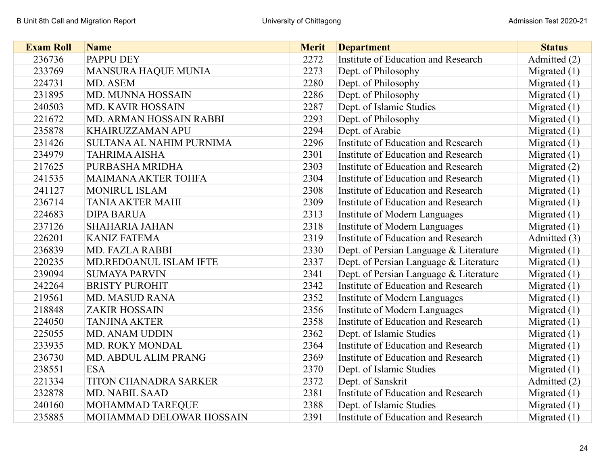| <b>Exam Roll</b> | <b>Name</b>                   | <b>Merit</b> | <b>Department</b>                      | <b>Status</b>  |
|------------------|-------------------------------|--------------|----------------------------------------|----------------|
| 236736           | <b>PAPPU DEY</b>              | 2272         | Institute of Education and Research    | Admitted (2)   |
| 233769           | <b>MANSURA HAQUE MUNIA</b>    | 2273         | Dept. of Philosophy                    | Migrated $(1)$ |
| 224731           | MD. ASEM                      | 2280         | Dept. of Philosophy                    | Migrated $(1)$ |
| 231895           | MD. MUNNA HOSSAIN             | 2286         | Dept. of Philosophy                    | Migrated $(1)$ |
| 240503           | <b>MD. KAVIR HOSSAIN</b>      | 2287         | Dept. of Islamic Studies               | Migrated $(1)$ |
| 221672           | MD. ARMAN HOSSAIN RABBI       | 2293         | Dept. of Philosophy                    | Migrated $(1)$ |
| 235878           | <b>KHAIRUZZAMAN APU</b>       | 2294         | Dept. of Arabic                        | Migrated $(1)$ |
| 231426           | SULTANA AL NAHIM PURNIMA      | 2296         | Institute of Education and Research    | Migrated $(1)$ |
| 234979           | <b>TAHRIMA AISHA</b>          | 2301         | Institute of Education and Research    | Migrated $(1)$ |
| 217625           | PURBASHA MRIDHA               | 2303         | Institute of Education and Research    | Migrated $(2)$ |
| 241535           | <b>MAIMANA AKTER TOHFA</b>    | 2304         | Institute of Education and Research    | Migrated $(1)$ |
| 241127           | <b>MONIRUL ISLAM</b>          | 2308         | Institute of Education and Research    | Migrated $(1)$ |
| 236714           | <b>TANIA AKTER MAHI</b>       | 2309         | Institute of Education and Research    | Migrated $(1)$ |
| 224683           | <b>DIPA BARUA</b>             | 2313         | Institute of Modern Languages          | Migrated $(1)$ |
| 237126           | <b>SHAHARIA JAHAN</b>         | 2318         | Institute of Modern Languages          | Migrated $(1)$ |
| 226201           | <b>KANIZ FATEMA</b>           | 2319         | Institute of Education and Research    | Admitted (3)   |
| 236839           | <b>MD. FAZLA RABBI</b>        | 2330         | Dept. of Persian Language & Literature | Migrated $(1)$ |
| 220235           | <b>MD.REDOANUL ISLAM IFTE</b> | 2337         | Dept. of Persian Language & Literature | Migrated $(1)$ |
| 239094           | <b>SUMAYA PARVIN</b>          | 2341         | Dept. of Persian Language & Literature | Migrated $(1)$ |
| 242264           | <b>BRISTY PUROHIT</b>         | 2342         | Institute of Education and Research    | Migrated $(1)$ |
| 219561           | <b>MD. MASUD RANA</b>         | 2352         | Institute of Modern Languages          | Migrated $(1)$ |
| 218848           | <b>ZAKIR HOSSAIN</b>          | 2356         | Institute of Modern Languages          | Migrated $(1)$ |
| 224050           | <b>TANJINA AKTER</b>          | 2358         | Institute of Education and Research    | Migrated $(1)$ |
| 225055           | MD. ANAM UDDIN                | 2362         | Dept. of Islamic Studies               | Migrated $(1)$ |
| 233935           | MD. ROKY MONDAL               | 2364         | Institute of Education and Research    | Migrated $(1)$ |
| 236730           | MD. ABDUL ALIM PRANG          | 2369         | Institute of Education and Research    | Migrated $(1)$ |
| 238551           | <b>ESA</b>                    | 2370         | Dept. of Islamic Studies               | Migrated $(1)$ |
| 221334           | TITON CHANADRA SARKER         | 2372         | Dept. of Sanskrit                      | Admitted (2)   |
| 232878           | MD. NABIL SAAD                | 2381         | Institute of Education and Research    | Migrated $(1)$ |
| 240160           | MOHAMMAD TAREQUE              | 2388         | Dept. of Islamic Studies               | Migrated $(1)$ |
| 235885           | MOHAMMAD DELOWAR HOSSAIN      | 2391         | Institute of Education and Research    | Migrated $(1)$ |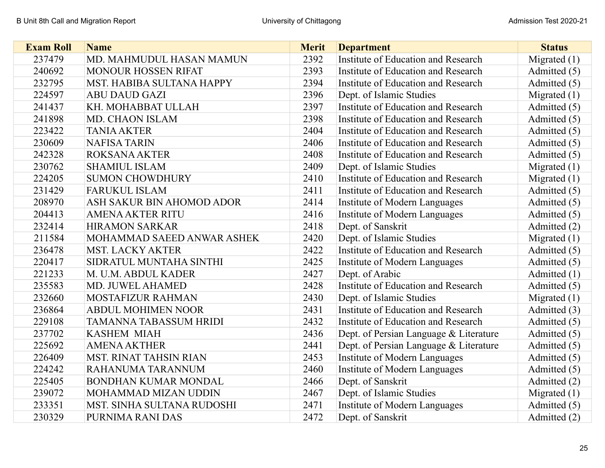| <b>Exam Roll</b> | <b>Name</b>                   | <b>Merit</b> | <b>Department</b>                      | <b>Status</b>  |
|------------------|-------------------------------|--------------|----------------------------------------|----------------|
| 237479           | MD. MAHMUDUL HASAN MAMUN      | 2392         | Institute of Education and Research    | Migrated $(1)$ |
| 240692           | <b>MONOUR HOSSEN RIFAT</b>    | 2393         | Institute of Education and Research    | Admitted (5)   |
| 232795           | MST. HABIBA SULTANA HAPPY     | 2394         | Institute of Education and Research    | Admitted (5)   |
| 224597           | <b>ABU DAUD GAZI</b>          | 2396         | Dept. of Islamic Studies               | Migrated $(1)$ |
| 241437           | KH. MOHABBAT ULLAH            | 2397         | Institute of Education and Research    | Admitted (5)   |
| 241898           | MD. CHAON ISLAM               | 2398         | Institute of Education and Research    | Admitted (5)   |
| 223422           | <b>TANIA AKTER</b>            | 2404         | Institute of Education and Research    | Admitted (5)   |
| 230609           | <b>NAFISA TARIN</b>           | 2406         | Institute of Education and Research    | Admitted (5)   |
| 242328           | <b>ROKSANA AKTER</b>          | 2408         | Institute of Education and Research    | Admitted (5)   |
| 230762           | <b>SHAMIUL ISLAM</b>          | 2409         | Dept. of Islamic Studies               | Migrated $(1)$ |
| 224205           | <b>SUMON CHOWDHURY</b>        | 2410         | Institute of Education and Research    | Migrated $(1)$ |
| 231429           | <b>FARUKUL ISLAM</b>          | 2411         | Institute of Education and Research    | Admitted (5)   |
| 208970           | ASH SAKUR BIN AHOMOD ADOR     | 2414         | Institute of Modern Languages          | Admitted (5)   |
| 204413           | <b>AMENA AKTER RITU</b>       | 2416         | Institute of Modern Languages          | Admitted (5)   |
| 232414           | <b>HIRAMON SARKAR</b>         | 2418         | Dept. of Sanskrit                      | Admitted (2)   |
| 211584           | MOHAMMAD SAEED ANWAR ASHEK    | 2420         | Dept. of Islamic Studies               | Migrated $(1)$ |
| 236478           | <b>MST. LACKY AKTER</b>       | 2422         | Institute of Education and Research    | Admitted (5)   |
| 220417           | SIDRATUL MUNTAHA SINTHI       | 2425         | Institute of Modern Languages          | Admitted (5)   |
| 221233           | M. U.M. ABDUL KADER           | 2427         | Dept. of Arabic                        | Admitted (1)   |
| 235583           | MD. JUWEL AHAMED              | 2428         | Institute of Education and Research    | Admitted (5)   |
| 232660           | MOSTAFIZUR RAHMAN             | 2430         | Dept. of Islamic Studies               | Migrated $(1)$ |
| 236864           | <b>ABDUL MOHIMEN NOOR</b>     | 2431         | Institute of Education and Research    | Admitted (3)   |
| 229108           | TAMANNA TABASSUM HRIDI        | 2432         | Institute of Education and Research    | Admitted (5)   |
| 237702           | <b>KASHEM MIAH</b>            | 2436         | Dept. of Persian Language & Literature | Admitted (5)   |
| 225692           | <b>AMENA AKTHER</b>           | 2441         | Dept. of Persian Language & Literature | Admitted (5)   |
| 226409           | <b>MST. RINAT TAHSIN RIAN</b> | 2453         | Institute of Modern Languages          | Admitted (5)   |
| 224242           | RAHANUMA TARANNUM             | 2460         | Institute of Modern Languages          | Admitted (5)   |
| 225405           | BONDHAN KUMAR MONDAL          | 2466         | Dept. of Sanskrit                      | Admitted (2)   |
| 239072           | MOHAMMAD MIZAN UDDIN          | 2467         | Dept. of Islamic Studies               | Migrated $(1)$ |
| 233351           | MST. SINHA SULTANA RUDOSHI    | 2471         | Institute of Modern Languages          | Admitted (5)   |
| 230329           | PURNIMA RANI DAS              | 2472         | Dept. of Sanskrit                      | Admitted (2)   |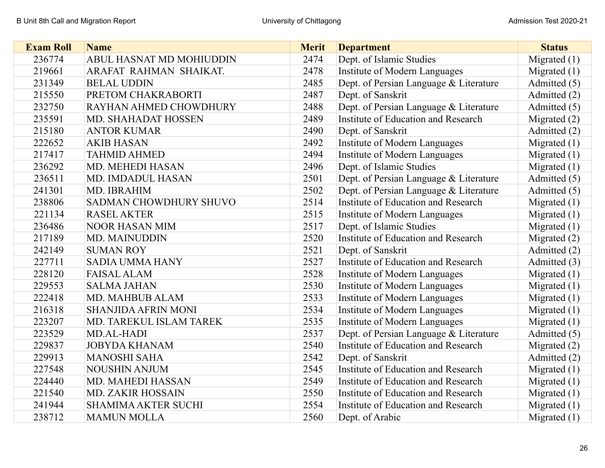| <b>Exam Roll</b> | <b>Name</b>                | <b>Merit</b> | <b>Department</b>                      | <b>Status</b>  |
|------------------|----------------------------|--------------|----------------------------------------|----------------|
| 236774           | ABUL HASNAT MD MOHIUDDIN   | 2474         | Dept. of Islamic Studies               | Migrated $(1)$ |
| 219661           | ARAFAT RAHMAN SHAIKAT.     | 2478         | Institute of Modern Languages          | Migrated $(1)$ |
| 231349           | <b>BELAL UDDIN</b>         | 2485         | Dept. of Persian Language & Literature | Admitted (5)   |
| 215550           | PRETOM CHAKRABORTI         | 2487         | Dept. of Sanskrit                      | Admitted (2)   |
| 232750           | RAYHAN AHMED CHOWDHURY     | 2488         | Dept. of Persian Language & Literature | Admitted (5)   |
| 235591           | <b>MD. SHAHADAT HOSSEN</b> | 2489         | Institute of Education and Research    | Migrated $(2)$ |
| 215180           | <b>ANTOR KUMAR</b>         | 2490         | Dept. of Sanskrit                      | Admitted (2)   |
| 222652           | <b>AKIB HASAN</b>          | 2492         | Institute of Modern Languages          | Migrated $(1)$ |
| 217417           | <b>TAHMID AHMED</b>        | 2494         | Institute of Modern Languages          | Migrated $(1)$ |
| 236292           | MD. MEHEDI HASAN           | 2496         | Dept. of Islamic Studies               | Migrated $(1)$ |
| 236511           | <b>MD. IMDADUL HASAN</b>   | 2501         | Dept. of Persian Language & Literature | Admitted (5)   |
| 241301           | MD. IBRAHIM                | 2502         | Dept. of Persian Language & Literature | Admitted (5)   |
| 238806           | SADMAN CHOWDHURY SHUVO     | 2514         | Institute of Education and Research    | Migrated $(1)$ |
| 221134           | <b>RASEL AKTER</b>         | 2515         | Institute of Modern Languages          | Migrated $(1)$ |
| 236486           | <b>NOOR HASAN MIM</b>      | 2517         | Dept. of Islamic Studies               | Migrated $(1)$ |
| 217189           | <b>MD. MAINUDDIN</b>       | 2520         | Institute of Education and Research    | Migrated $(2)$ |
| 242149           | <b>SUMAN ROY</b>           | 2521         | Dept. of Sanskrit                      | Admitted (2)   |
| 227711           | <b>SADIA UMMA HANY</b>     | 2527         | Institute of Education and Research    | Admitted (3)   |
| 228120           | <b>FAISAL ALAM</b>         | 2528         | Institute of Modern Languages          | Migrated $(1)$ |
| 229553           | <b>SALMA JAHAN</b>         | 2530         | Institute of Modern Languages          | Migrated $(1)$ |
| 222418           | MD. MAHBUB ALAM            | 2533         | Institute of Modern Languages          | Migrated $(1)$ |
| 216318           | <b>SHANJIDA AFRIN MONI</b> | 2534         | Institute of Modern Languages          | Migrated $(1)$ |
| 223207           | MD. TAREKUL ISLAM TAREK    | 2535         | Institute of Modern Languages          | Migrated $(1)$ |
| 223529           | MD.AL-HADI                 | 2537         | Dept. of Persian Language & Literature | Admitted (5)   |
| 229837           | <b>JOBYDA KHANAM</b>       | 2540         | Institute of Education and Research    | Migrated $(2)$ |
| 229913           | <b>MANOSHI SAHA</b>        | 2542         | Dept. of Sanskrit                      | Admitted (2)   |
| 227548           | <b>NOUSHIN ANJUM</b>       | 2545         | Institute of Education and Research    | Migrated $(1)$ |
| 224440           | MD. MAHEDI HASSAN          | 2549         | Institute of Education and Research    | Migrated $(1)$ |
| 221540           | <b>MD. ZAKIR HOSSAIN</b>   | 2550         | Institute of Education and Research    | Migrated $(1)$ |
| 241944           | <b>SHAMIMA AKTER SUCHI</b> | 2554         | Institute of Education and Research    | Migrated $(1)$ |
| 238712           | <b>MAMUN MOLLA</b>         | 2560         | Dept. of Arabic                        | Migrated $(1)$ |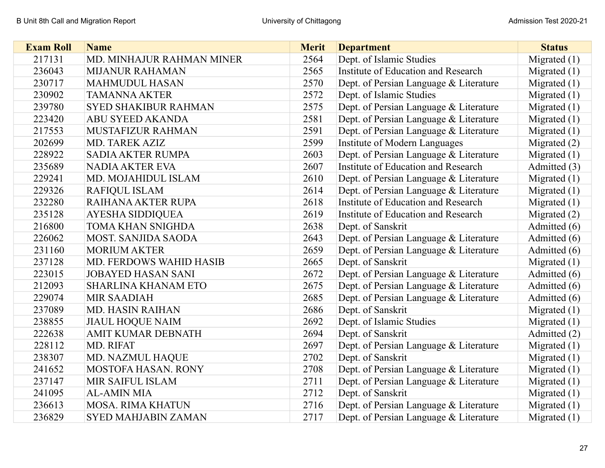| <b>Exam Roll</b> | <b>Name</b>                    | <b>Merit</b> | <b>Department</b>                      | <b>Status</b>  |
|------------------|--------------------------------|--------------|----------------------------------------|----------------|
| 217131           | MD. MINHAJUR RAHMAN MINER      | 2564         | Dept. of Islamic Studies               | Migrated $(1)$ |
| 236043           | <b>MIJANUR RAHAMAN</b>         | 2565         | Institute of Education and Research    | Migrated $(1)$ |
| 230717           | <b>MAHMUDUL HASAN</b>          | 2570         | Dept. of Persian Language & Literature | Migrated $(1)$ |
| 230902           | <b>TAMANNA AKTER</b>           | 2572         | Dept. of Islamic Studies               | Migrated $(1)$ |
| 239780           | <b>SYED SHAKIBUR RAHMAN</b>    | 2575         | Dept. of Persian Language & Literature | Migrated $(1)$ |
| 223420           | <b>ABU SYEED AKANDA</b>        | 2581         | Dept. of Persian Language & Literature | Migrated $(1)$ |
| 217553           | MUSTAFIZUR RAHMAN              | 2591         | Dept. of Persian Language & Literature | Migrated $(1)$ |
| 202699           | <b>MD. TAREK AZIZ</b>          | 2599         | Institute of Modern Languages          | Migrated $(2)$ |
| 228922           | <b>SADIA AKTER RUMPA</b>       | 2603         | Dept. of Persian Language & Literature | Migrated $(1)$ |
| 235689           | <b>NADIA AKTER EVA</b>         | 2607         | Institute of Education and Research    | Admitted (3)   |
| 229241           | MD. MOJAHIDUL ISLAM            | 2610         | Dept. of Persian Language & Literature | Migrated $(1)$ |
| 229326           | <b>RAFIQUL ISLAM</b>           | 2614         | Dept. of Persian Language & Literature | Migrated $(1)$ |
| 232280           | RAIHANA AKTER RUPA             | 2618         | Institute of Education and Research    | Migrated $(1)$ |
| 235128           | <b>AYESHA SIDDIQUEA</b>        | 2619         | Institute of Education and Research    | Migrated $(2)$ |
| 216800           | TOMA KHAN SNIGHDA              | 2638         | Dept. of Sanskrit                      | Admitted (6)   |
| 226062           | <b>MOST. SANJIDA SAODA</b>     | 2643         | Dept. of Persian Language & Literature | Admitted (6)   |
| 231160           | <b>MORIUM AKTER</b>            | 2659         | Dept. of Persian Language & Literature | Admitted (6)   |
| 237128           | <b>MD. FERDOWS WAHID HASIB</b> | 2665         | Dept. of Sanskrit                      | Migrated $(1)$ |
| 223015           | <b>JOBAYED HASAN SANI</b>      | 2672         | Dept. of Persian Language & Literature | Admitted (6)   |
| 212093           | <b>SHARLINA KHANAM ETO</b>     | 2675         | Dept. of Persian Language & Literature | Admitted (6)   |
| 229074           | <b>MIR SAADIAH</b>             | 2685         | Dept. of Persian Language & Literature | Admitted (6)   |
| 237089           | <b>MD. HASIN RAIHAN</b>        | 2686         | Dept. of Sanskrit                      | Migrated $(1)$ |
| 238855           | <b>JIAUL HOQUE NAIM</b>        | 2692         | Dept. of Islamic Studies               | Migrated $(1)$ |
| 222638           | <b>AMIT KUMAR DEBNATH</b>      | 2694         | Dept. of Sanskrit                      | Admitted (2)   |
| 228112           | MD. RIFAT                      | 2697         | Dept. of Persian Language & Literature | Migrated $(1)$ |
| 238307           | MD. NAZMUL HAQUE               | 2702         | Dept. of Sanskrit                      | Migrated $(1)$ |
| 241652           | <b>MOSTOFA HASAN. RONY</b>     | 2708         | Dept. of Persian Language & Literature | Migrated $(1)$ |
| 237147           | MIR SAIFUL ISLAM               | 2711         | Dept. of Persian Language & Literature | Migrated $(1)$ |
| 241095           | <b>AL-AMIN MIA</b>             | 2712         | Dept. of Sanskrit                      | Migrated $(1)$ |
| 236613           | <b>MOSA. RIMA KHATUN</b>       | 2716         | Dept. of Persian Language & Literature | Migrated $(1)$ |
| 236829           | <b>SYED MAHJABIN ZAMAN</b>     | 2717         | Dept. of Persian Language & Literature | Migrated $(1)$ |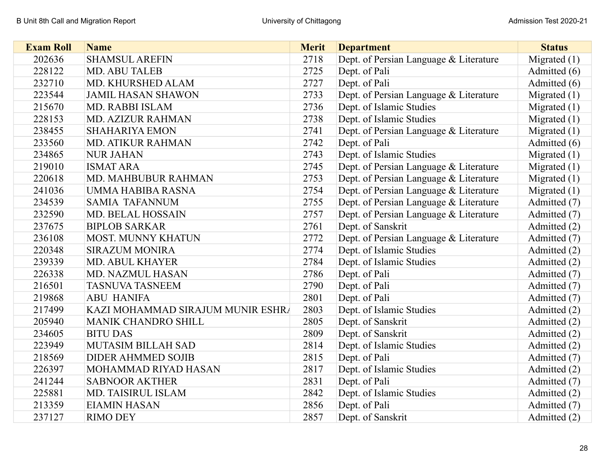| <b>Exam Roll</b> | <b>Name</b>                       | <b>Merit</b> | <b>Department</b>                      | <b>Status</b>  |
|------------------|-----------------------------------|--------------|----------------------------------------|----------------|
| 202636           | <b>SHAMSUL AREFIN</b>             | 2718         | Dept. of Persian Language & Literature | Migrated $(1)$ |
| 228122           | <b>MD. ABU TALEB</b>              | 2725         | Dept. of Pali                          | Admitted (6)   |
| 232710           | MD. KHURSHED ALAM                 | 2727         | Dept. of Pali                          | Admitted (6)   |
| 223544           | <b>JAMIL HASAN SHAWON</b>         | 2733         | Dept. of Persian Language & Literature | Migrated $(1)$ |
| 215670           | <b>MD. RABBI ISLAM</b>            | 2736         | Dept. of Islamic Studies               | Migrated $(1)$ |
| 228153           | <b>MD. AZIZUR RAHMAN</b>          | 2738         | Dept. of Islamic Studies               | Migrated $(1)$ |
| 238455           | <b>SHAHARIYA EMON</b>             | 2741         | Dept. of Persian Language & Literature | Migrated $(1)$ |
| 233560           | <b>MD. ATIKUR RAHMAN</b>          | 2742         | Dept. of Pali                          | Admitted (6)   |
| 234865           | <b>NUR JAHAN</b>                  | 2743         | Dept. of Islamic Studies               | Migrated $(1)$ |
| 219010           | <b>ISMAT ARA</b>                  | 2745         | Dept. of Persian Language & Literature | Migrated $(1)$ |
| 220618           | <b>MD. MAHBUBUR RAHMAN</b>        | 2753         | Dept. of Persian Language & Literature | Migrated $(1)$ |
| 241036           | UMMA HABIBA RASNA                 | 2754         | Dept. of Persian Language & Literature | Migrated $(1)$ |
| 234539           | <b>SAMIA TAFANNUM</b>             | 2755         | Dept. of Persian Language & Literature | Admitted (7)   |
| 232590           | <b>MD. BELAL HOSSAIN</b>          | 2757         | Dept. of Persian Language & Literature | Admitted (7)   |
| 237675           | <b>BIPLOB SARKAR</b>              | 2761         | Dept. of Sanskrit                      | Admitted (2)   |
| 236108           | <b>MOST. MUNNY KHATUN</b>         | 2772         | Dept. of Persian Language & Literature | Admitted (7)   |
| 220348           | <b>SIRAZUM MONIRA</b>             | 2774         | Dept. of Islamic Studies               | Admitted (2)   |
| 239339           | <b>MD. ABUL KHAYER</b>            | 2784         | Dept. of Islamic Studies               | Admitted (2)   |
| 226338           | MD. NAZMUL HASAN                  | 2786         | Dept. of Pali                          | Admitted (7)   |
| 216501           | <b>TASNUVA TASNEEM</b>            | 2790         | Dept. of Pali                          | Admitted (7)   |
| 219868           | <b>ABU HANIFA</b>                 | 2801         | Dept. of Pali                          | Admitted (7)   |
| 217499           | KAZI MOHAMMAD SIRAJUM MUNIR ESHRA | 2803         | Dept. of Islamic Studies               | Admitted (2)   |
| 205940           | <b>MANIK CHANDRO SHILL</b>        | 2805         | Dept. of Sanskrit                      | Admitted (2)   |
| 234605           | <b>BITU DAS</b>                   | 2809         | Dept. of Sanskrit                      | Admitted (2)   |
| 223949           | <b>MUTASIM BILLAH SAD</b>         | 2814         | Dept. of Islamic Studies               | Admitted (2)   |
| 218569           | <b>DIDER AHMMED SOJIB</b>         | 2815         | Dept. of Pali                          | Admitted (7)   |
| 226397           | MOHAMMAD RIYAD HASAN              | 2817         | Dept. of Islamic Studies               | Admitted (2)   |
| 241244           | <b>SABNOOR AKTHER</b>             | 2831         | Dept. of Pali                          | Admitted (7)   |
| 225881           | MD. TAISIRUL ISLAM                | 2842         | Dept. of Islamic Studies               | Admitted (2)   |
| 213359           | <b>EIAMIN HASAN</b>               | 2856         | Dept. of Pali                          | Admitted (7)   |
| 237127           | <b>RIMO DEY</b>                   | 2857         | Dept. of Sanskrit                      | Admitted (2)   |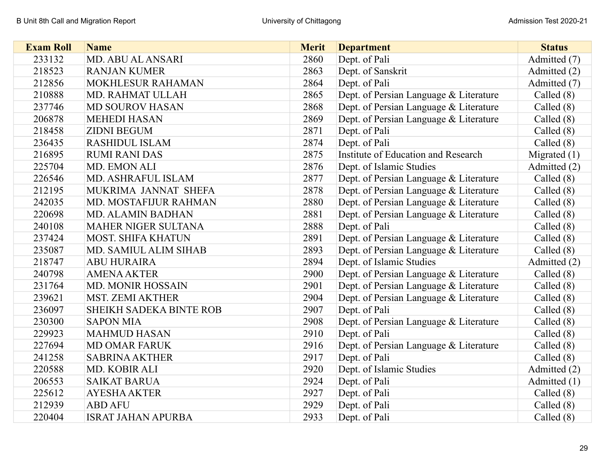| <b>Exam Roll</b> | <b>Name</b>                    | <b>Merit</b> | <b>Department</b>                      | <b>Status</b>  |
|------------------|--------------------------------|--------------|----------------------------------------|----------------|
| 233132           | MD. ABU AL ANSARI              | 2860         | Dept. of Pali                          | Admitted (7)   |
| 218523           | <b>RANJAN KUMER</b>            | 2863         | Dept. of Sanskrit                      | Admitted (2)   |
| 212856           | MOKHLESUR RAHAMAN              | 2864         | Dept. of Pali                          | Admitted (7)   |
| 210888           | MD. RAHMAT ULLAH               | 2865         | Dept. of Persian Language & Literature | Called $(8)$   |
| 237746           | <b>MD SOUROV HASAN</b>         | 2868         | Dept. of Persian Language & Literature | Called $(8)$   |
| 206878           | <b>MEHEDI HASAN</b>            | 2869         | Dept. of Persian Language & Literature | Called $(8)$   |
| 218458           | <b>ZIDNI BEGUM</b>             | 2871         | Dept. of Pali                          | Called $(8)$   |
| 236435           | <b>RASHIDUL ISLAM</b>          | 2874         | Dept. of Pali                          | Called $(8)$   |
| 216895           | <b>RUMI RANI DAS</b>           | 2875         | Institute of Education and Research    | Migrated $(1)$ |
| 225704           | MD. EMON ALI                   | 2876         | Dept. of Islamic Studies               | Admitted (2)   |
| 226546           | MD. ASHRAFUL ISLAM             | 2877         | Dept. of Persian Language & Literature | Called $(8)$   |
| 212195           | MUKRIMA JANNAT SHEFA           | 2878         | Dept. of Persian Language & Literature | Called $(8)$   |
| 242035           | MD. MOSTAFIJUR RAHMAN          | 2880         | Dept. of Persian Language & Literature | Called $(8)$   |
| 220698           | <b>MD. ALAMIN BADHAN</b>       | 2881         | Dept. of Persian Language & Literature | Called $(8)$   |
| 240108           | <b>MAHER NIGER SULTANA</b>     | 2888         | Dept. of Pali                          | Called $(8)$   |
| 237424           | <b>MOST. SHIFA KHATUN</b>      | 2891         | Dept. of Persian Language & Literature | Called $(8)$   |
| 235087           | MD. SAMIUL ALIM SIHAB          | 2893         | Dept. of Persian Language & Literature | Called $(8)$   |
| 218747           | <b>ABU HURAIRA</b>             | 2894         | Dept. of Islamic Studies               | Admitted (2)   |
| 240798           | <b>AMENA AKTER</b>             | 2900         | Dept. of Persian Language & Literature | Called $(8)$   |
| 231764           | <b>MD. MONIR HOSSAIN</b>       | 2901         | Dept. of Persian Language & Literature | Called $(8)$   |
| 239621           | <b>MST. ZEMI AKTHER</b>        | 2904         | Dept. of Persian Language & Literature | Called $(8)$   |
| 236097           | <b>SHEIKH SADEKA BINTE ROB</b> | 2907         | Dept. of Pali                          | Called $(8)$   |
| 230300           | <b>SAPON MIA</b>               | 2908         | Dept. of Persian Language & Literature | Called $(8)$   |
| 229923           | <b>MAHMUD HASAN</b>            | 2910         | Dept. of Pali                          | Called $(8)$   |
| 227694           | <b>MD OMAR FARUK</b>           | 2916         | Dept. of Persian Language & Literature | Called $(8)$   |
| 241258           | <b>SABRINA AKTHER</b>          | 2917         | Dept. of Pali                          | Called $(8)$   |
| 220588           | MD. KOBIR ALI                  | 2920         | Dept. of Islamic Studies               | Admitted (2)   |
| 206553           | <b>SAIKAT BARUA</b>            | 2924         | Dept. of Pali                          | Admitted (1)   |
| 225612           | <b>AYESHA AKTER</b>            | 2927         | Dept. of Pali                          | Called $(8)$   |
| 212939           | <b>ABD AFU</b>                 | 2929         | Dept. of Pali                          | Called $(8)$   |
| 220404           | <b>ISRAT JAHAN APURBA</b>      | 2933         | Dept. of Pali                          | Called $(8)$   |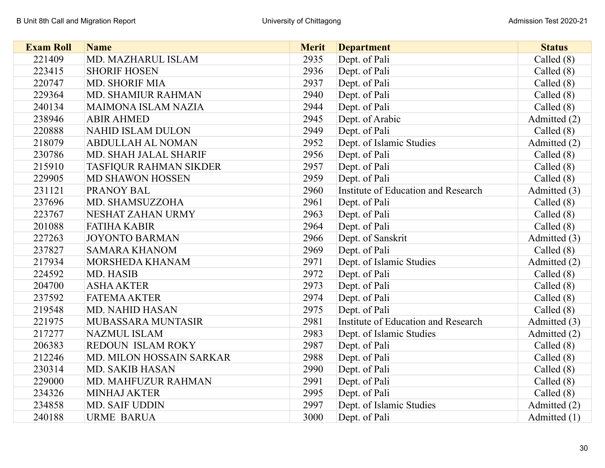| <b>Exam Roll</b> | <b>Name</b>                   | <b>Merit</b> | <b>Department</b>                   | <b>Status</b> |
|------------------|-------------------------------|--------------|-------------------------------------|---------------|
| 221409           | MD. MAZHARUL ISLAM            | 2935         | Dept. of Pali                       | Called $(8)$  |
| 223415           | <b>SHORIF HOSEN</b>           | 2936         | Dept. of Pali                       | Called $(8)$  |
| 220747           | <b>MD. SHORIF MIA</b>         | 2937         | Dept. of Pali                       | Called $(8)$  |
| 229364           | <b>MD. SHAMIUR RAHMAN</b>     | 2940         | Dept. of Pali                       | Called $(8)$  |
| 240134           | <b>MAIMONA ISLAM NAZIA</b>    | 2944         | Dept. of Pali                       | Called $(8)$  |
| 238946           | <b>ABIR AHMED</b>             | 2945         | Dept. of Arabic                     | Admitted (2)  |
| 220888           | <b>NAHID ISLAM DULON</b>      | 2949         | Dept. of Pali                       | Called $(8)$  |
| 218079           | <b>ABDULLAH AL NOMAN</b>      | 2952         | Dept. of Islamic Studies            | Admitted (2)  |
| 230786           | MD. SHAH JALAL SHARIF         | 2956         | Dept. of Pali                       | Called $(8)$  |
| 215910           | <b>TASFIQUR RAHMAN SIKDER</b> | 2957         | Dept. of Pali                       | Called $(8)$  |
| 229905           | <b>MD SHAWON HOSSEN</b>       | 2959         | Dept. of Pali                       | Called $(8)$  |
| 231121           | PRANOY BAL                    | 2960         | Institute of Education and Research | Admitted (3)  |
| 237696           | MD. SHAMSUZZOHA               | 2961         | Dept. of Pali                       | Called $(8)$  |
| 223767           | NESHAT ZAHAN URMY             | 2963         | Dept. of Pali                       | Called $(8)$  |
| 201088           | <b>FATIHA KABIR</b>           | 2964         | Dept. of Pali                       | Called $(8)$  |
| 227263           | <b>JOYONTO BARMAN</b>         | 2966         | Dept. of Sanskrit                   | Admitted (3)  |
| 237827           | <b>SAMARA KHANOM</b>          | 2969         | Dept. of Pali                       | Called $(8)$  |
| 217934           | MORSHEDA KHANAM               | 2971         | Dept. of Islamic Studies            | Admitted (2)  |
| 224592           | <b>MD. HASIB</b>              | 2972         | Dept. of Pali                       | Called $(8)$  |
| 204700           | <b>ASHA AKTER</b>             | 2973         | Dept. of Pali                       | Called $(8)$  |
| 237592           | <b>FATEMA AKTER</b>           | 2974         | Dept. of Pali                       | Called $(8)$  |
| 219548           | <b>MD. NAHID HASAN</b>        | 2975         | Dept. of Pali                       | Called $(8)$  |
| 221975           | MUBASSARA MUNTASIR            | 2981         | Institute of Education and Research | Admitted (3)  |
| 217277           | <b>NAZMUL ISLAM</b>           | 2983         | Dept. of Islamic Studies            | Admitted (2)  |
| 206383           | REDOUN ISLAM ROKY             | 2987         | Dept. of Pali                       | Called $(8)$  |
| 212246           | MD. MILON HOSSAIN SARKAR      | 2988         | Dept. of Pali                       | Called $(8)$  |
| 230314           | <b>MD. SAKIB HASAN</b>        | 2990         | Dept. of Pali                       | Called $(8)$  |
| 229000           | <b>MD. MAHFUZUR RAHMAN</b>    | 2991         | Dept. of Pali                       | Called $(8)$  |
| 234326           | <b>MINHAJ AKTER</b>           | 2995         | Dept. of Pali                       | Called $(8)$  |
| 234858           | <b>MD. SAIF UDDIN</b>         | 2997         | Dept. of Islamic Studies            | Admitted (2)  |
| 240188           | <b>URME BARUA</b>             | 3000         | Dept. of Pali                       | Admitted (1)  |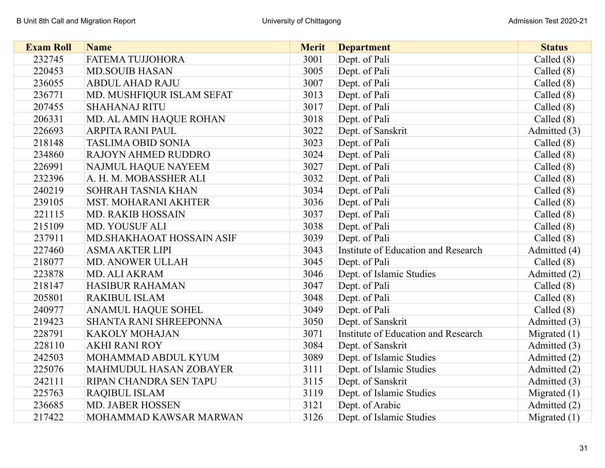| <b>Exam Roll</b> | <b>Name</b>                   | <b>Merit</b> | <b>Department</b>                   | <b>Status</b>  |
|------------------|-------------------------------|--------------|-------------------------------------|----------------|
| 232745           | FATEMA TUJJOHORA              | 3001         | Dept. of Pali                       | Called $(8)$   |
| 220453           | <b>MD.SOUIB HASAN</b>         | 3005         | Dept. of Pali                       | Called $(8)$   |
| 236055           | <b>ABDUL AHAD RAJU</b>        | 3007         | Dept. of Pali                       | Called $(8)$   |
| 236771           | MD. MUSHFIQUR ISLAM SEFAT     | 3013         | Dept. of Pali                       | Called $(8)$   |
| 207455           | <b>SHAHANAJ RITU</b>          | 3017         | Dept. of Pali                       | Called $(8)$   |
| 206331           | MD. AL AMIN HAQUE ROHAN       | 3018         | Dept. of Pali                       | Called $(8)$   |
| 226693           | <b>ARPITA RANI PAUL</b>       | 3022         | Dept. of Sanskrit                   | Admitted (3)   |
| 218148           | <b>TASLIMA OBID SONIA</b>     | 3023         | Dept. of Pali                       | Called $(8)$   |
| 234860           | <b>RAJOYN AHMED RUDDRO</b>    | 3024         | Dept. of Pali                       | Called $(8)$   |
| 226991           | NAJMUL HAQUE NAYEEM           | 3027         | Dept. of Pali                       | Called $(8)$   |
| 232396           | A. H. M. MOBASSHER ALI        | 3032         | Dept. of Pali                       | Called $(8)$   |
| 240219           | SOHRAH TASNIA KHAN            | 3034         | Dept. of Pali                       | Called $(8)$   |
| 239105           | MST. MOHARANI AKHTER          | 3036         | Dept. of Pali                       | Called $(8)$   |
| 221115           | <b>MD. RAKIB HOSSAIN</b>      | 3037         | Dept. of Pali                       | Called $(8)$   |
| 215109           | MD. YOUSUF ALI                | 3038         | Dept. of Pali                       | Called $(8)$   |
| 237911           | MD. SHAKHAOAT HOSSAIN ASIF    | 3039         | Dept. of Pali                       | Called $(8)$   |
| 227460           | <b>ASMA AKTER LIPI</b>        | 3043         | Institute of Education and Research | Admitted (4)   |
| 218077           | <b>MD. ANOWER ULLAH</b>       | 3045         | Dept. of Pali                       | Called $(8)$   |
| 223878           | MD. ALI AKRAM                 | 3046         | Dept. of Islamic Studies            | Admitted (2)   |
| 218147           | <b>HASIBUR RAHAMAN</b>        | 3047         | Dept. of Pali                       | Called $(8)$   |
| 205801           | <b>RAKIBUL ISLAM</b>          | 3048         | Dept. of Pali                       | Called $(8)$   |
| 240977           | <b>ANAMUL HAQUE SOHEL</b>     | 3049         | Dept. of Pali                       | Called $(8)$   |
| 219423           | <b>SHANTA RANI SHREEPONNA</b> | 3050         | Dept. of Sanskrit                   | Admitted (3)   |
| 228791           | <b>KAKOLY MOHAJAN</b>         | 3071         | Institute of Education and Research | Migrated $(1)$ |
| 228110           | <b>AKHI RANI ROY</b>          | 3084         | Dept. of Sanskrit                   | Admitted (3)   |
| 242503           | MOHAMMAD ABDUL KYUM           | 3089         | Dept. of Islamic Studies            | Admitted (2)   |
| 225076           | <b>MAHMUDUL HASAN ZOBAYER</b> | 3111         | Dept. of Islamic Studies            | Admitted (2)   |
| 242111           | RIPAN CHANDRA SEN TAPU        | 3115         | Dept. of Sanskrit                   | Admitted (3)   |
| 225763           | <b>RAQIBUL ISLAM</b>          | 3119         | Dept. of Islamic Studies            | Migrated $(1)$ |
| 236685           | <b>MD. JABER HOSSEN</b>       | 3121         | Dept. of Arabic                     | Admitted (2)   |
| 217422           | MOHAMMAD KAWSAR MARWAN        | 3126         | Dept. of Islamic Studies            | Migrated $(1)$ |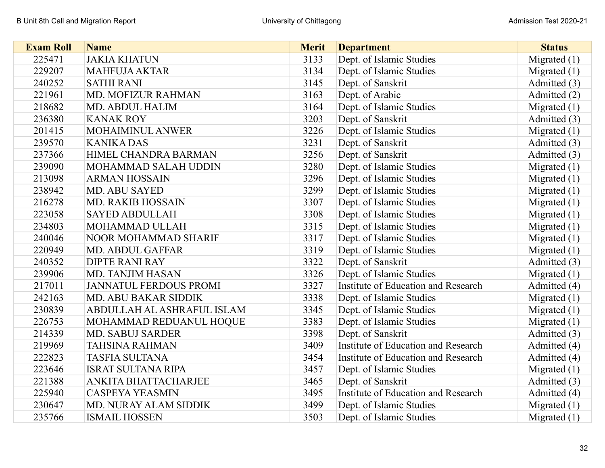| <b>Exam Roll</b> | <b>Name</b>                   | <b>Merit</b> | <b>Department</b>                   | <b>Status</b>  |
|------------------|-------------------------------|--------------|-------------------------------------|----------------|
| 225471           | <b>JAKIA KHATUN</b>           | 3133         | Dept. of Islamic Studies            | Migrated $(1)$ |
| 229207           | <b>MAHFUJA AKTAR</b>          | 3134         | Dept. of Islamic Studies            | Migrated $(1)$ |
| 240252           | <b>SATHI RANI</b>             | 3145         | Dept. of Sanskrit                   | Admitted (3)   |
| 221961           | MD. MOFIZUR RAHMAN            | 3163         | Dept. of Arabic                     | Admitted (2)   |
| 218682           | <b>MD. ABDUL HALIM</b>        | 3164         | Dept. of Islamic Studies            | Migrated $(1)$ |
| 236380           | <b>KANAK ROY</b>              | 3203         | Dept. of Sanskrit                   | Admitted (3)   |
| 201415           | MOHAIMINUL ANWER              | 3226         | Dept. of Islamic Studies            | Migrated $(1)$ |
| 239570           | <b>KANIKA DAS</b>             | 3231         | Dept. of Sanskrit                   | Admitted (3)   |
| 237366           | HIMEL CHANDRA BARMAN          | 3256         | Dept. of Sanskrit                   | Admitted (3)   |
| 239090           | MOHAMMAD SALAH UDDIN          | 3280         | Dept. of Islamic Studies            | Migrated $(1)$ |
| 213098           | <b>ARMAN HOSSAIN</b>          | 3296         | Dept. of Islamic Studies            | Migrated $(1)$ |
| 238942           | <b>MD. ABU SAYED</b>          | 3299         | Dept. of Islamic Studies            | Migrated $(1)$ |
| 216278           | <b>MD. RAKIB HOSSAIN</b>      | 3307         | Dept. of Islamic Studies            | Migrated $(1)$ |
| 223058           | <b>SAYED ABDULLAH</b>         | 3308         | Dept. of Islamic Studies            | Migrated $(1)$ |
| 234803           | MOHAMMAD ULLAH                | 3315         | Dept. of Islamic Studies            | Migrated $(1)$ |
| 240046           | <b>NOOR MOHAMMAD SHARIF</b>   | 3317         | Dept. of Islamic Studies            | Migrated $(1)$ |
| 220949           | <b>MD. ABDUL GAFFAR</b>       | 3319         | Dept. of Islamic Studies            | Migrated $(1)$ |
| 240352           | <b>DIPTE RANI RAY</b>         | 3322         | Dept. of Sanskrit                   | Admitted (3)   |
| 239906           | <b>MD. TANJIM HASAN</b>       | 3326         | Dept. of Islamic Studies            | Migrated $(1)$ |
| 217011           | <b>JANNATUL FERDOUS PROMI</b> | 3327         | Institute of Education and Research | Admitted (4)   |
| 242163           | <b>MD. ABU BAKAR SIDDIK</b>   | 3338         | Dept. of Islamic Studies            | Migrated $(1)$ |
| 230839           | ABDULLAH AL ASHRAFUL ISLAM    | 3345         | Dept. of Islamic Studies            | Migrated $(1)$ |
| 226753           | MOHAMMAD REDUANUL HOQUE       | 3383         | Dept. of Islamic Studies            | Migrated $(1)$ |
| 214339           | <b>MD. SABUJ SARDER</b>       | 3398         | Dept. of Sanskrit                   | Admitted (3)   |
| 219969           | <b>TAHSINA RAHMAN</b>         | 3409         | Institute of Education and Research | Admitted (4)   |
| 222823           | <b>TASFIA SULTANA</b>         | 3454         | Institute of Education and Research | Admitted (4)   |
| 223646           | <b>ISRAT SULTANA RIPA</b>     | 3457         | Dept. of Islamic Studies            | Migrated $(1)$ |
| 221388           | ANKITA BHATTACHARJEE          | 3465         | Dept. of Sanskrit                   | Admitted (3)   |
| 225940           | <b>CASPEYA YEASMIN</b>        | 3495         | Institute of Education and Research | Admitted (4)   |
| 230647           | MD. NURAY ALAM SIDDIK         | 3499         | Dept. of Islamic Studies            | Migrated $(1)$ |
| 235766           | <b>ISMAIL HOSSEN</b>          | 3503         | Dept. of Islamic Studies            | Migrated $(1)$ |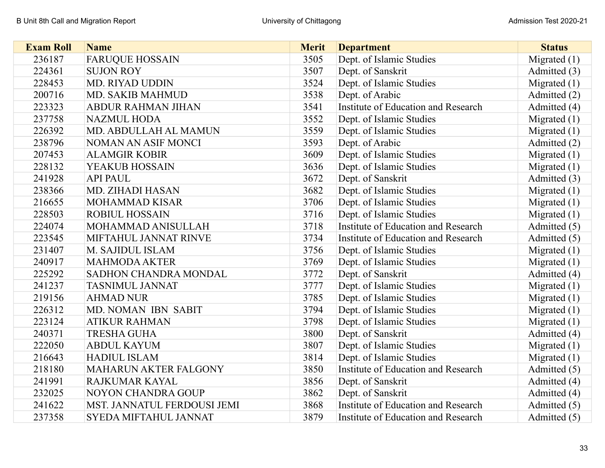| <b>Exam Roll</b> | <b>Name</b>                  | <b>Merit</b> | <b>Department</b>                   | <b>Status</b>  |
|------------------|------------------------------|--------------|-------------------------------------|----------------|
| 236187           | <b>FARUQUE HOSSAIN</b>       | 3505         | Dept. of Islamic Studies            | Migrated $(1)$ |
| 224361           | <b>SUJON ROY</b>             | 3507         | Dept. of Sanskrit                   | Admitted (3)   |
| 228453           | <b>MD. RIYAD UDDIN</b>       | 3524         | Dept. of Islamic Studies            | Migrated $(1)$ |
| 200716           | <b>MD. SAKIB MAHMUD</b>      | 3538         | Dept. of Arabic                     | Admitted (2)   |
| 223323           | <b>ABDUR RAHMAN JIHAN</b>    | 3541         | Institute of Education and Research | Admitted (4)   |
| 237758           | <b>NAZMUL HODA</b>           | 3552         | Dept. of Islamic Studies            | Migrated $(1)$ |
| 226392           | MD. ABDULLAH AL MAMUN        | 3559         | Dept. of Islamic Studies            | Migrated $(1)$ |
| 238796           | NOMAN AN ASIF MONCI          | 3593         | Dept. of Arabic                     | Admitted (2)   |
| 207453           | <b>ALAMGIR KOBIR</b>         | 3609         | Dept. of Islamic Studies            | Migrated $(1)$ |
| 228132           | YEAKUB HOSSAIN               | 3636         | Dept. of Islamic Studies            | Migrated $(1)$ |
| 241928           | <b>API PAUL</b>              | 3672         | Dept. of Sanskrit                   | Admitted (3)   |
| 238366           | MD. ZIHADI HASAN             | 3682         | Dept. of Islamic Studies            | Migrated $(1)$ |
| 216655           | <b>MOHAMMAD KISAR</b>        | 3706         | Dept. of Islamic Studies            | Migrated $(1)$ |
| 228503           | <b>ROBIUL HOSSAIN</b>        | 3716         | Dept. of Islamic Studies            | Migrated $(1)$ |
| 224074           | MOHAMMAD ANISULLAH           | 3718         | Institute of Education and Research | Admitted (5)   |
| 223545           | MIFTAHUL JANNAT RINVE        | 3734         | Institute of Education and Research | Admitted (5)   |
| 231407           | M. SAJIDUL ISLAM             | 3756         | Dept. of Islamic Studies            | Migrated $(1)$ |
| 240917           | <b>MAHMODA AKTER</b>         | 3769         | Dept. of Islamic Studies            | Migrated $(1)$ |
| 225292           | SADHON CHANDRA MONDAL        | 3772         | Dept. of Sanskrit                   | Admitted (4)   |
| 241237           | <b>TASNIMUL JANNAT</b>       | 3777         | Dept. of Islamic Studies            | Migrated $(1)$ |
| 219156           | <b>AHMAD NUR</b>             | 3785         | Dept. of Islamic Studies            | Migrated $(1)$ |
| 226312           | MD. NOMAN IBN SABIT          | 3794         | Dept. of Islamic Studies            | Migrated $(1)$ |
| 223124           | <b>ATIKUR RAHMAN</b>         | 3798         | Dept. of Islamic Studies            | Migrated $(1)$ |
| 240371           | <b>TRESHA GUHA</b>           | 3800         | Dept. of Sanskrit                   | Admitted (4)   |
| 222050           | <b>ABDUL KAYUM</b>           | 3807         | Dept. of Islamic Studies            | Migrated $(1)$ |
| 216643           | <b>HADIUL ISLAM</b>          | 3814         | Dept. of Islamic Studies            | Migrated $(1)$ |
| 218180           | <b>MAHARUN AKTER FALGONY</b> | 3850         | Institute of Education and Research | Admitted (5)   |
| 241991           | RAJKUMAR KAYAL               | 3856         | Dept. of Sanskrit                   | Admitted (4)   |
| 232025           | <b>NOYON CHANDRA GOUP</b>    | 3862         | Dept. of Sanskrit                   | Admitted (4)   |
| 241622           | MST. JANNATUL FERDOUSI JEMI  | 3868         | Institute of Education and Research | Admitted (5)   |
| 237358           | <b>SYEDA MIFTAHUL JANNAT</b> | 3879         | Institute of Education and Research | Admitted (5)   |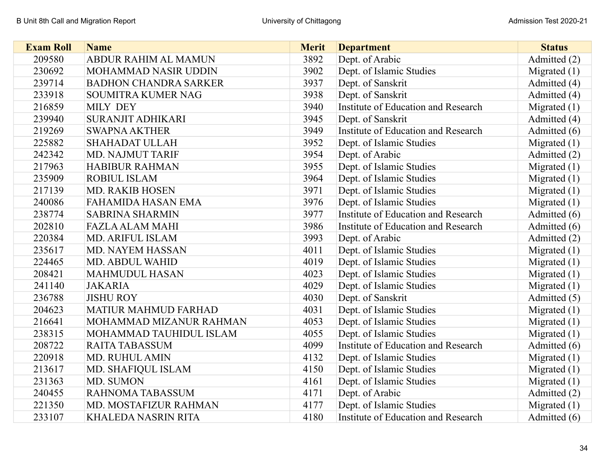| <b>Exam Roll</b> | <b>Name</b>                  | <b>Merit</b> | <b>Department</b>                   | <b>Status</b>  |
|------------------|------------------------------|--------------|-------------------------------------|----------------|
| 209580           | ABDUR RAHIM AL MAMUN         | 3892         | Dept. of Arabic                     | Admitted (2)   |
| 230692           | MOHAMMAD NASIR UDDIN         | 3902         | Dept. of Islamic Studies            | Migrated $(1)$ |
| 239714           | <b>BADHON CHANDRA SARKER</b> | 3937         | Dept. of Sanskrit                   | Admitted (4)   |
| 233918           | SOUMITRA KUMER NAG           | 3938         | Dept. of Sanskrit                   | Admitted (4)   |
| 216859           | <b>MILY DEY</b>              | 3940         | Institute of Education and Research | Migrated $(1)$ |
| 239940           | <b>SURANJIT ADHIKARI</b>     | 3945         | Dept. of Sanskrit                   | Admitted (4)   |
| 219269           | <b>SWAPNA AKTHER</b>         | 3949         | Institute of Education and Research | Admitted (6)   |
| 225882           | <b>SHAHADAT ULLAH</b>        | 3952         | Dept. of Islamic Studies            | Migrated $(1)$ |
| 242342           | <b>MD. NAJMUT TARIF</b>      | 3954         | Dept. of Arabic                     | Admitted (2)   |
| 217963           | <b>HABIBUR RAHMAN</b>        | 3955         | Dept. of Islamic Studies            | Migrated $(1)$ |
| 235909           | <b>ROBIUL ISLAM</b>          | 3964         | Dept. of Islamic Studies            | Migrated $(1)$ |
| 217139           | <b>MD. RAKIB HOSEN</b>       | 3971         | Dept. of Islamic Studies            | Migrated (1)   |
| 240086           | <b>FAHAMIDA HASAN EMA</b>    | 3976         | Dept. of Islamic Studies            | Migrated $(1)$ |
| 238774           | <b>SABRINA SHARMIN</b>       | 3977         | Institute of Education and Research | Admitted (6)   |
| 202810           | <b>FAZLA ALAM MAHI</b>       | 3986         | Institute of Education and Research | Admitted (6)   |
| 220384           | <b>MD. ARIFUL ISLAM</b>      | 3993         | Dept. of Arabic                     | Admitted (2)   |
| 235617           | <b>MD. NAYEM HASSAN</b>      | 4011         | Dept. of Islamic Studies            | Migrated $(1)$ |
| 224465           | <b>MD. ABDUL WAHID</b>       | 4019         | Dept. of Islamic Studies            | Migrated $(1)$ |
| 208421           | <b>MAHMUDUL HASAN</b>        | 4023         | Dept. of Islamic Studies            | Migrated $(1)$ |
| 241140           | <b>JAKARIA</b>               | 4029         | Dept. of Islamic Studies            | Migrated $(1)$ |
| 236788           | <b>JISHU ROY</b>             | 4030         | Dept. of Sanskrit                   | Admitted (5)   |
| 204623           | <b>MATIUR MAHMUD FARHAD</b>  | 4031         | Dept. of Islamic Studies            | Migrated $(1)$ |
| 216641           | MOHAMMAD MIZANUR RAHMAN      | 4053         | Dept. of Islamic Studies            | Migrated $(1)$ |
| 238315           | MOHAMMAD TAUHIDUL ISLAM      | 4055         | Dept. of Islamic Studies            | Migrated $(1)$ |
| 208722           | <b>RAITA TABASSUM</b>        | 4099         | Institute of Education and Research | Admitted (6)   |
| 220918           | <b>MD. RUHUL AMIN</b>        | 4132         | Dept. of Islamic Studies            | Migrated $(1)$ |
| 213617           | MD. SHAFIQUL ISLAM           | 4150         | Dept. of Islamic Studies            | Migrated $(1)$ |
| 231363           | MD. SUMON                    | 4161         | Dept. of Islamic Studies            | Migrated $(1)$ |
| 240455           | RAHNOMA TABASSUM             | 4171         | Dept. of Arabic                     | Admitted (2)   |
| 221350           | MD. MOSTAFIZUR RAHMAN        | 4177         | Dept. of Islamic Studies            | Migrated $(1)$ |
| 233107           | <b>KHALEDA NASRIN RITA</b>   | 4180         | Institute of Education and Research | Admitted (6)   |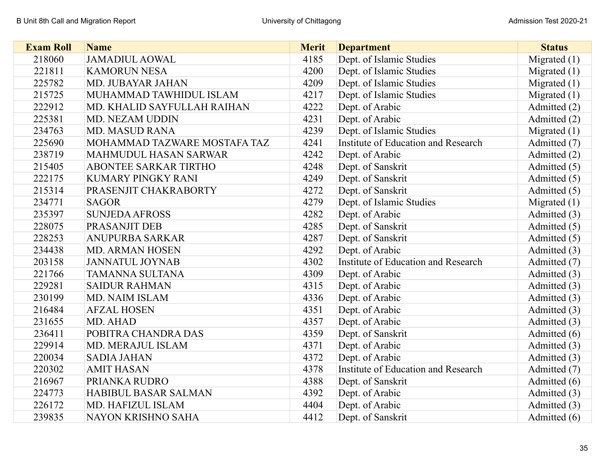| <b>Exam Roll</b> | <b>Name</b>                  | <b>Merit</b> | <b>Department</b>                   | <b>Status</b>  |
|------------------|------------------------------|--------------|-------------------------------------|----------------|
| 218060           | <b>JAMADIUL AOWAL</b>        | 4185         | Dept. of Islamic Studies            | Migrated $(1)$ |
| 221811           | <b>KAMORUN NESA</b>          | 4200         | Dept. of Islamic Studies            | Migrated $(1)$ |
| 225782           | MD. JUBAYAR JAHAN            | 4209         | Dept. of Islamic Studies            | Migrated $(1)$ |
| 215725           | MUHAMMAD TAWHIDUL ISLAM      | 4217         | Dept. of Islamic Studies            | Migrated $(1)$ |
| 222912           | MD. KHALID SAYFULLAH RAIHAN  | 4222         | Dept. of Arabic                     | Admitted (2)   |
| 225381           | <b>MD. NEZAM UDDIN</b>       | 4231         | Dept. of Arabic                     | Admitted (2)   |
| 234763           | <b>MD. MASUD RANA</b>        | 4239         | Dept. of Islamic Studies            | Migrated $(1)$ |
| 225690           | MOHAMMAD TAZWARE MOSTAFA TAZ | 4241         | Institute of Education and Research | Admitted (7)   |
| 238719           | <b>MAHMUDUL HASAN SARWAR</b> | 4242         | Dept. of Arabic                     | Admitted (2)   |
| 215405           | <b>ABONTEE SARKAR TIRTHO</b> | 4248         | Dept. of Sanskrit                   | Admitted (5)   |
| 222175           | <b>KUMARY PINGKY RANI</b>    | 4249         | Dept. of Sanskrit                   | Admitted (5)   |
| 215314           | PRASENJIT CHAKRABORTY        | 4272         | Dept. of Sanskrit                   | Admitted (5)   |
| 234771           | <b>SAGOR</b>                 | 4279         | Dept. of Islamic Studies            | Migrated $(1)$ |
| 235397           | <b>SUNJEDA AFROSS</b>        | 4282         | Dept. of Arabic                     | Admitted (3)   |
| 228075           | PRASANJIT DEB                | 4285         | Dept. of Sanskrit                   | Admitted (5)   |
| 228253           | <b>ANUPURBA SARKAR</b>       | 4287         | Dept. of Sanskrit                   | Admitted (5)   |
| 234438           | <b>MD. ARMAN HOSEN</b>       | 4292         | Dept. of Arabic                     | Admitted (3)   |
| 203158           | <b>JANNATUL JOYNAB</b>       | 4302         | Institute of Education and Research | Admitted (7)   |
| 221766           | <b>TAMANNA SULTANA</b>       | 4309         | Dept. of Arabic                     | Admitted (3)   |
| 229281           | <b>SAIDUR RAHMAN</b>         | 4315         | Dept. of Arabic                     | Admitted (3)   |
| 230199           | MD. NAIM ISLAM               | 4336         | Dept. of Arabic                     | Admitted (3)   |
| 216484           | <b>AFZAL HOSEN</b>           | 4351         | Dept. of Arabic                     | Admitted (3)   |
| 231655           | MD. AHAD                     | 4357         | Dept. of Arabic                     | Admitted (3)   |
| 236411           | POBITRA CHANDRA DAS          | 4359         | Dept. of Sanskrit                   | Admitted (6)   |
| 229914           | <b>MD. MERAJUL ISLAM</b>     | 4371         | Dept. of Arabic                     | Admitted (3)   |
| 220034           | <b>SADIA JAHAN</b>           | 4372         | Dept. of Arabic                     | Admitted (3)   |
| 220302           | <b>AMIT HASAN</b>            | 4378         | Institute of Education and Research | Admitted (7)   |
| 216967           | PRIANKA RUDRO                | 4388         | Dept. of Sanskrit                   | Admitted (6)   |
| 224773           | <b>HABIBUL BASAR SALMAN</b>  | 4392         | Dept. of Arabic                     | Admitted (3)   |
| 226172           | MD. HAFIZUL ISLAM            | 4404         | Dept. of Arabic                     | Admitted (3)   |
| 239835           | NAYON KRISHNO SAHA           | 4412         | Dept. of Sanskrit                   | Admitted (6)   |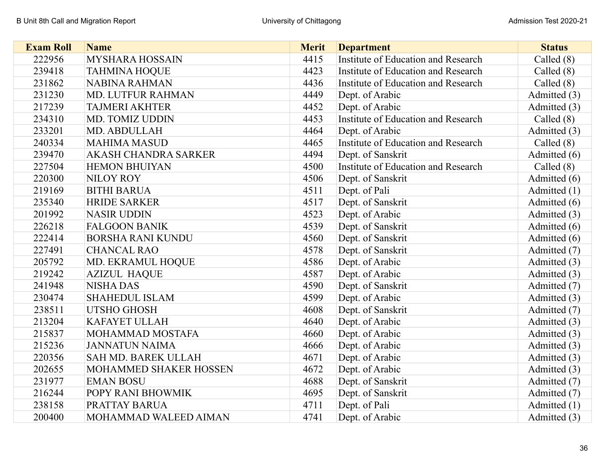| <b>Exam Roll</b> | <b>Name</b>              | <b>Merit</b> | <b>Department</b>                   | <b>Status</b> |
|------------------|--------------------------|--------------|-------------------------------------|---------------|
| 222956           | MYSHARA HOSSAIN          | 4415         | Institute of Education and Research | Called $(8)$  |
| 239418           | <b>TAHMINA HOQUE</b>     | 4423         | Institute of Education and Research | Called $(8)$  |
| 231862           | <b>NABINA RAHMAN</b>     | 4436         | Institute of Education and Research | Called $(8)$  |
| 231230           | <b>MD. LUTFUR RAHMAN</b> | 4449         | Dept. of Arabic                     | Admitted (3)  |
| 217239           | <b>TAJMERI AKHTER</b>    | 4452         | Dept. of Arabic                     | Admitted (3)  |
| 234310           | <b>MD. TOMIZ UDDIN</b>   | 4453         | Institute of Education and Research | Called $(8)$  |
| 233201           | MD. ABDULLAH             | 4464         | Dept. of Arabic                     | Admitted (3)  |
| 240334           | <b>MAHIMA MASUD</b>      | 4465         | Institute of Education and Research | Called $(8)$  |
| 239470           | AKASH CHANDRA SARKER     | 4494         | Dept. of Sanskrit                   | Admitted (6)  |
| 227504           | <b>HEMON BHUIYAN</b>     | 4500         | Institute of Education and Research | Called $(8)$  |
| 220300           | <b>NILOY ROY</b>         | 4506         | Dept. of Sanskrit                   | Admitted (6)  |
| 219169           | <b>BITHI BARUA</b>       | 4511         | Dept. of Pali                       | Admitted (1)  |
| 235340           | <b>HRIDE SARKER</b>      | 4517         | Dept. of Sanskrit                   | Admitted (6)  |
| 201992           | <b>NASIR UDDIN</b>       | 4523         | Dept. of Arabic                     | Admitted (3)  |
| 226218           | <b>FALGOON BANIK</b>     | 4539         | Dept. of Sanskrit                   | Admitted (6)  |
| 222414           | <b>BORSHA RANI KUNDU</b> | 4560         | Dept. of Sanskrit                   | Admitted (6)  |
| 227491           | <b>CHANCAL RAO</b>       | 4578         | Dept. of Sanskrit                   | Admitted (7)  |
| 205792           | MD. EKRAMUL HOQUE        | 4586         | Dept. of Arabic                     | Admitted (3)  |
| 219242           | <b>AZIZUL HAQUE</b>      | 4587         | Dept. of Arabic                     | Admitted (3)  |
| 241948           | <b>NISHA DAS</b>         | 4590         | Dept. of Sanskrit                   | Admitted (7)  |
| 230474           | <b>SHAHEDUL ISLAM</b>    | 4599         | Dept. of Arabic                     | Admitted (3)  |
| 238511           | <b>UTSHO GHOSH</b>       | 4608         | Dept. of Sanskrit                   | Admitted (7)  |
| 213204           | <b>KAFAYET ULLAH</b>     | 4640         | Dept. of Arabic                     | Admitted (3)  |
| 215837           | MOHAMMAD MOSTAFA         | 4660         | Dept. of Arabic                     | Admitted (3)  |
| 215236           | <b>JANNATUN NAIMA</b>    | 4666         | Dept. of Arabic                     | Admitted (3)  |
| 220356           | SAH MD. BAREK ULLAH      | 4671         | Dept. of Arabic                     | Admitted (3)  |
| 202655           | MOHAMMED SHAKER HOSSEN   | 4672         | Dept. of Arabic                     | Admitted (3)  |
| 231977           | <b>EMAN BOSU</b>         | 4688         | Dept. of Sanskrit                   | Admitted (7)  |
| 216244           | POPY RANI BHOWMIK        | 4695         | Dept. of Sanskrit                   | Admitted (7)  |
| 238158           | PRATTAY BARUA            | 4711         | Dept. of Pali                       | Admitted (1)  |
| 200400           | MOHAMMAD WALEED AIMAN    | 4741         | Dept. of Arabic                     | Admitted (3)  |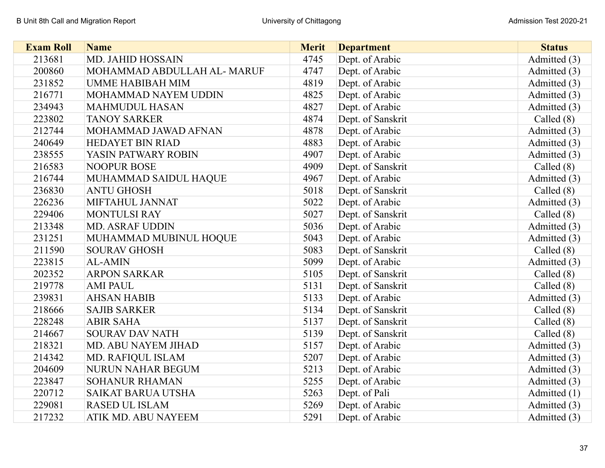| <b>Exam Roll</b> | <b>Name</b>                | <b>Merit</b> | <b>Department</b> | <b>Status</b> |
|------------------|----------------------------|--------------|-------------------|---------------|
| 213681           | MD. JAHID HOSSAIN          | 4745         | Dept. of Arabic   | Admitted (3)  |
| 200860           | MOHAMMAD ABDULLAH AL-MARUF | 4747         | Dept. of Arabic   | Admitted (3)  |
| 231852           | <b>UMME HABIBAH MIM</b>    | 4819         | Dept. of Arabic   | Admitted (3)  |
| 216771           | MOHAMMAD NAYEM UDDIN       | 4825         | Dept. of Arabic   | Admitted (3)  |
| 234943           | <b>MAHMUDUL HASAN</b>      | 4827         | Dept. of Arabic   | Admitted (3)  |
| 223802           | <b>TANOY SARKER</b>        | 4874         | Dept. of Sanskrit | Called $(8)$  |
| 212744           | MOHAMMAD JAWAD AFNAN       | 4878         | Dept. of Arabic   | Admitted (3)  |
| 240649           | <b>HEDAYET BIN RIAD</b>    | 4883         | Dept. of Arabic   | Admitted (3)  |
| 238555           | YASIN PATWARY ROBIN        | 4907         | Dept. of Arabic   | Admitted (3)  |
| 216583           | <b>NOOPUR BOSE</b>         | 4909         | Dept. of Sanskrit | Called $(8)$  |
| 216744           | MUHAMMAD SAIDUL HAQUE      | 4967         | Dept. of Arabic   | Admitted (3)  |
| 236830           | <b>ANTU GHOSH</b>          | 5018         | Dept. of Sanskrit | Called $(8)$  |
| 226236           | MIFTAHUL JANNAT            | 5022         | Dept. of Arabic   | Admitted (3)  |
| 229406           | <b>MONTULSI RAY</b>        | 5027         | Dept. of Sanskrit | Called $(8)$  |
| 213348           | <b>MD. ASRAF UDDIN</b>     | 5036         | Dept. of Arabic   | Admitted (3)  |
| 231251           | MUHAMMAD MUBINUL HOQUE     | 5043         | Dept. of Arabic   | Admitted (3)  |
| 211590           | <b>SOURAV GHOSH</b>        | 5083         | Dept. of Sanskrit | Called $(8)$  |
| 223815           | <b>AL-AMIN</b>             | 5099         | Dept. of Arabic   | Admitted (3)  |
| 202352           | <b>ARPON SARKAR</b>        | 5105         | Dept. of Sanskrit | Called $(8)$  |
| 219778           | <b>AMI PAUL</b>            | 5131         | Dept. of Sanskrit | Called $(8)$  |
| 239831           | <b>AHSAN HABIB</b>         | 5133         | Dept. of Arabic   | Admitted (3)  |
| 218666           | <b>SAJIB SARKER</b>        | 5134         | Dept. of Sanskrit | Called $(8)$  |
| 228248           | <b>ABIR SAHA</b>           | 5137         | Dept. of Sanskrit | Called (8)    |
| 214667           | <b>SOURAV DAV NATH</b>     | 5139         | Dept. of Sanskrit | Called $(8)$  |
| 218321           | MD. ABU NAYEM JIHAD        | 5157         | Dept. of Arabic   | Admitted (3)  |
| 214342           | MD. RAFIQUL ISLAM          | 5207         | Dept. of Arabic   | Admitted (3)  |
| 204609           | <b>NURUN NAHAR BEGUM</b>   | 5213         | Dept. of Arabic   | Admitted (3)  |
| 223847           | <b>SOHANUR RHAMAN</b>      | 5255         | Dept. of Arabic   | Admitted (3)  |
| 220712           | <b>SAIKAT BARUA UTSHA</b>  | 5263         | Dept. of Pali     | Admitted (1)  |
| 229081           | <b>RASED UL ISLAM</b>      | 5269         | Dept. of Arabic   | Admitted (3)  |
| 217232           | ATIK MD. ABU NAYEEM        | 5291         | Dept. of Arabic   | Admitted (3)  |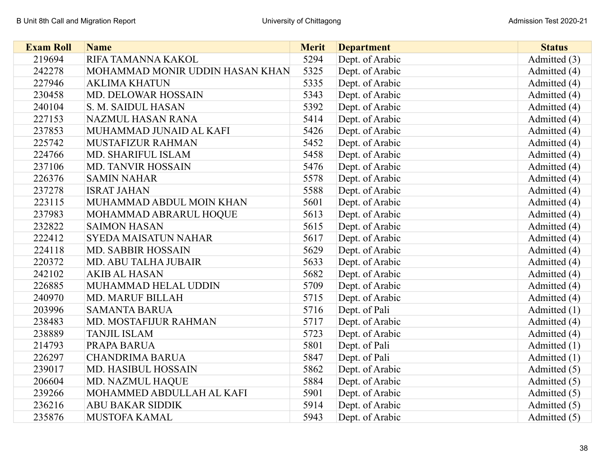| <b>Exam Roll</b> | <b>Name</b>                     | <b>Merit</b> | <b>Department</b> | <b>Status</b> |
|------------------|---------------------------------|--------------|-------------------|---------------|
| 219694           | RIFA TAMANNA KAKOL              | 5294         | Dept. of Arabic   | Admitted (3)  |
| 242278           | MOHAMMAD MONIR UDDIN HASAN KHAN | 5325         | Dept. of Arabic   | Admitted (4)  |
| 227946           | <b>AKLIMA KHATUN</b>            | 5335         | Dept. of Arabic   | Admitted (4)  |
| 230458           | <b>MD. DELOWAR HOSSAIN</b>      | 5343         | Dept. of Arabic   | Admitted (4)  |
| 240104           | S. M. SAIDUL HASAN              | 5392         | Dept. of Arabic   | Admitted (4)  |
| 227153           | NAZMUL HASAN RANA               | 5414         | Dept. of Arabic   | Admitted (4)  |
| 237853           | MUHAMMAD JUNAID AL KAFI         | 5426         | Dept. of Arabic   | Admitted (4)  |
| 225742           | MUSTAFIZUR RAHMAN               | 5452         | Dept. of Arabic   | Admitted (4)  |
| 224766           | MD. SHARIFUL ISLAM              | 5458         | Dept. of Arabic   | Admitted (4)  |
| 237106           | <b>MD. TANVIR HOSSAIN</b>       | 5476         | Dept. of Arabic   | Admitted (4)  |
| 226376           | <b>SAMIN NAHAR</b>              | 5578         | Dept. of Arabic   | Admitted (4)  |
| 237278           | <b>ISRAT JAHAN</b>              | 5588         | Dept. of Arabic   | Admitted (4)  |
| 223115           | MUHAMMAD ABDUL MOIN KHAN        | 5601         | Dept. of Arabic   | Admitted (4)  |
| 237983           | MOHAMMAD ABRARUL HOQUE          | 5613         | Dept. of Arabic   | Admitted (4)  |
| 232822           | <b>SAIMON HASAN</b>             | 5615         | Dept. of Arabic   | Admitted (4)  |
| 222412           | <b>SYEDA MAISATUN NAHAR</b>     | 5617         | Dept. of Arabic   | Admitted (4)  |
| 224118           | <b>MD. SABBIR HOSSAIN</b>       | 5629         | Dept. of Arabic   | Admitted (4)  |
| 220372           | MD. ABU TALHA JUBAIR            | 5633         | Dept. of Arabic   | Admitted (4)  |
| 242102           | <b>AKIB AL HASAN</b>            | 5682         | Dept. of Arabic   | Admitted (4)  |
| 226885           | MUHAMMAD HELAL UDDIN            | 5709         | Dept. of Arabic   | Admitted (4)  |
| 240970           | <b>MD. MARUF BILLAH</b>         | 5715         | Dept. of Arabic   | Admitted (4)  |
| 203996           | <b>SAMANTA BARUA</b>            | 5716         | Dept. of Pali     | Admitted (1)  |
| 238483           | MD. MOSTAFIJUR RAHMAN           | 5717         | Dept. of Arabic   | Admitted (4)  |
| 238889           | <b>TANJIL ISLAM</b>             | 5723         | Dept. of Arabic   | Admitted (4)  |
| 214793           | PRAPA BARUA                     | 5801         | Dept. of Pali     | Admitted (1)  |
| 226297           | <b>CHANDRIMA BARUA</b>          | 5847         | Dept. of Pali     | Admitted (1)  |
| 239017           | MD. HASIBUL HOSSAIN             | 5862         | Dept. of Arabic   | Admitted (5)  |
| 206604           | MD. NAZMUL HAQUE                | 5884         | Dept. of Arabic   | Admitted (5)  |
| 239266           | MOHAMMED ABDULLAH AL KAFI       | 5901         | Dept. of Arabic   | Admitted (5)  |
| 236216           | <b>ABU BAKAR SIDDIK</b>         | 5914         | Dept. of Arabic   | Admitted (5)  |
| 235876           | <b>MUSTOFA KAMAL</b>            | 5943         | Dept. of Arabic   | Admitted (5)  |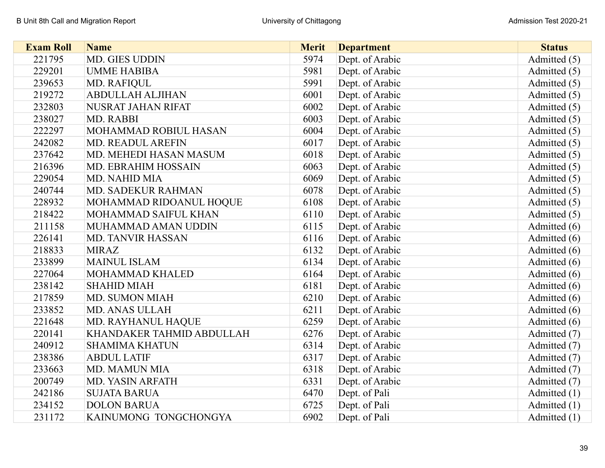| <b>Exam Roll</b> | <b>Name</b>               | <b>Merit</b> | <b>Department</b> | <b>Status</b>  |
|------------------|---------------------------|--------------|-------------------|----------------|
| 221795           | MD. GIES UDDIN            | 5974         | Dept. of Arabic   | Admitted (5)   |
| 229201           | <b>UMME HABIBA</b>        | 5981         | Dept. of Arabic   | Admitted (5)   |
| 239653           | <b>MD. RAFIQUL</b>        | 5991         | Dept. of Arabic   | Admitted (5)   |
| 219272           | <b>ABDULLAH ALJIHAN</b>   | 6001         | Dept. of Arabic   | Admitted (5)   |
| 232803           | NUSRAT JAHAN RIFAT        | 6002         | Dept. of Arabic   | Admitted (5)   |
| 238027           | MD. RABBI                 | 6003         | Dept. of Arabic   | Admitted (5)   |
| 222297           | MOHAMMAD ROBIUL HASAN     | 6004         | Dept. of Arabic   | Admitted (5)   |
| 242082           | MD. READUL AREFIN         | 6017         | Dept. of Arabic   | Admitted (5)   |
| 237642           | MD. MEHEDI HASAN MASUM    | 6018         | Dept. of Arabic   | Admitted (5)   |
| 216396           | MD. EBRAHIM HOSSAIN       | 6063         | Dept. of Arabic   | Admitted (5)   |
| 229054           | <b>MD. NAHID MIA</b>      | 6069         | Dept. of Arabic   | Admitted (5)   |
| 240744           | MD. SADEKUR RAHMAN        | 6078         | Dept. of Arabic   | Admitted (5)   |
| 228932           | MOHAMMAD RIDOANUL HOQUE   | 6108         | Dept. of Arabic   | Admitted (5)   |
| 218422           | MOHAMMAD SAIFUL KHAN      | 6110         | Dept. of Arabic   | Admitted (5)   |
| 211158           | MUHAMMAD AMAN UDDIN       | 6115         | Dept. of Arabic   | Admitted (6)   |
| 226141           | <b>MD. TANVIR HASSAN</b>  | 6116         | Dept. of Arabic   | Admitted (6)   |
| 218833           | <b>MIRAZ</b>              | 6132         | Dept. of Arabic   | Admitted (6)   |
| 233899           | <b>MAINUL ISLAM</b>       | 6134         | Dept. of Arabic   | Admitted (6)   |
| 227064           | MOHAMMAD KHALED           | 6164         | Dept. of Arabic   | Admitted (6)   |
| 238142           | <b>SHAHID MIAH</b>        | 6181         | Dept. of Arabic   | Admitted (6)   |
| 217859           | <b>MD. SUMON MIAH</b>     | 6210         | Dept. of Arabic   | Admitted (6)   |
| 233852           | <b>MD. ANAS ULLAH</b>     | 6211         | Dept. of Arabic   | Admitted (6)   |
| 221648           | MD. RAYHANUL HAQUE        | 6259         | Dept. of Arabic   | Admitted (6)   |
| 220141           | KHANDAKER TAHMID ABDULLAH | 6276         | Dept. of Arabic   | Admitted (7)   |
| 240912           | <b>SHAMIMA KHATUN</b>     | 6314         | Dept. of Arabic   | Admitted (7)   |
| 238386           | <b>ABDUL LATIF</b>        | 6317         | Dept. of Arabic   | Admitted (7)   |
| 233663           | <b>MD. MAMUN MIA</b>      | 6318         | Dept. of Arabic   | Admitted (7)   |
| 200749           | MD. YASIN ARFATH          | 6331         | Dept. of Arabic   | Admitted (7)   |
| 242186           | <b>SUJATA BARUA</b>       | 6470         | Dept. of Pali     | Admitted $(1)$ |
| 234152           | <b>DOLON BARUA</b>        | 6725         | Dept. of Pali     | Admitted (1)   |
| 231172           | KAINUMONG TONGCHONGYA     | 6902         | Dept. of Pali     | Admitted (1)   |